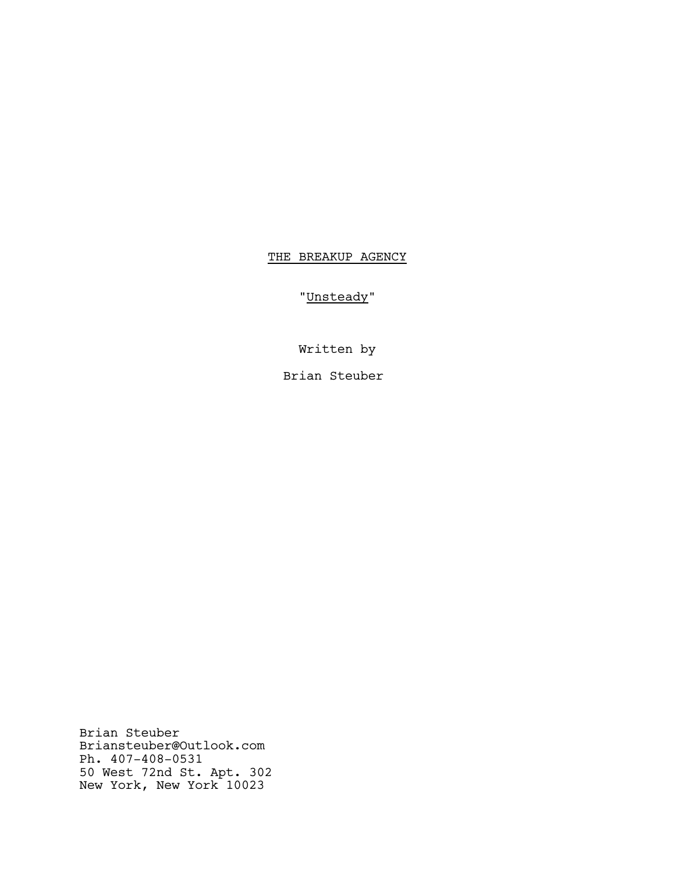# THE BREAKUP AGENCY

"Unsteady"

Written by

Brian Steuber

Brian Steuber Briansteuber@Outlook.com Ph. 407-408-0531 50 West 72nd St. Apt. 302 New York, New York 10023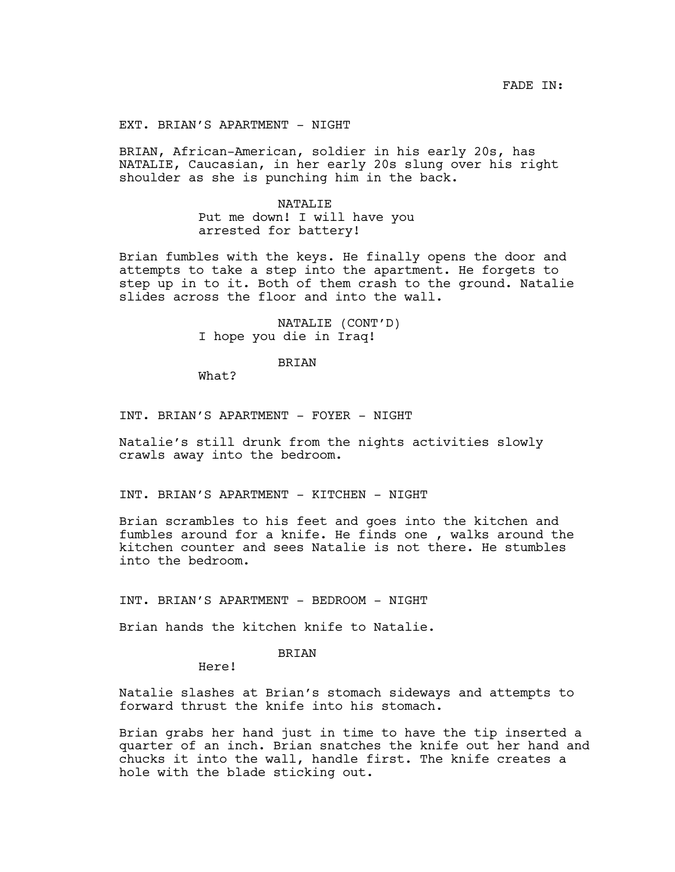EXT. BRIAN'S APARTMENT - NIGHT

BRIAN, African-American, soldier in his early 20s, has NATALIE, Caucasian, in her early 20s slung over his right shoulder as she is punching him in the back.

> NATALIE Put me down! I will have you arrested for battery!

Brian fumbles with the keys. He finally opens the door and attempts to take a step into the apartment. He forgets to step up in to it. Both of them crash to the ground. Natalie slides across the floor and into the wall.

> NATALIE (CONT'D) I hope you die in Iraq!

## BRIAN

What?

INT. BRIAN'S APARTMENT - FOYER - NIGHT

Natalie's still drunk from the nights activities slowly crawls away into the bedroom.

INT. BRIAN'S APARTMENT - KITCHEN - NIGHT

Brian scrambles to his feet and goes into the kitchen and fumbles around for a knife. He finds one , walks around the kitchen counter and sees Natalie is not there. He stumbles into the bedroom.

INT. BRIAN'S APARTMENT - BEDROOM - NIGHT

Brian hands the kitchen knife to Natalie.

## BRIAN

Here!

Natalie slashes at Brian's stomach sideways and attempts to forward thrust the knife into his stomach.

Brian grabs her hand just in time to have the tip inserted a quarter of an inch. Brian snatches the knife out her hand and chucks it into the wall, handle first. The knife creates a hole with the blade sticking out.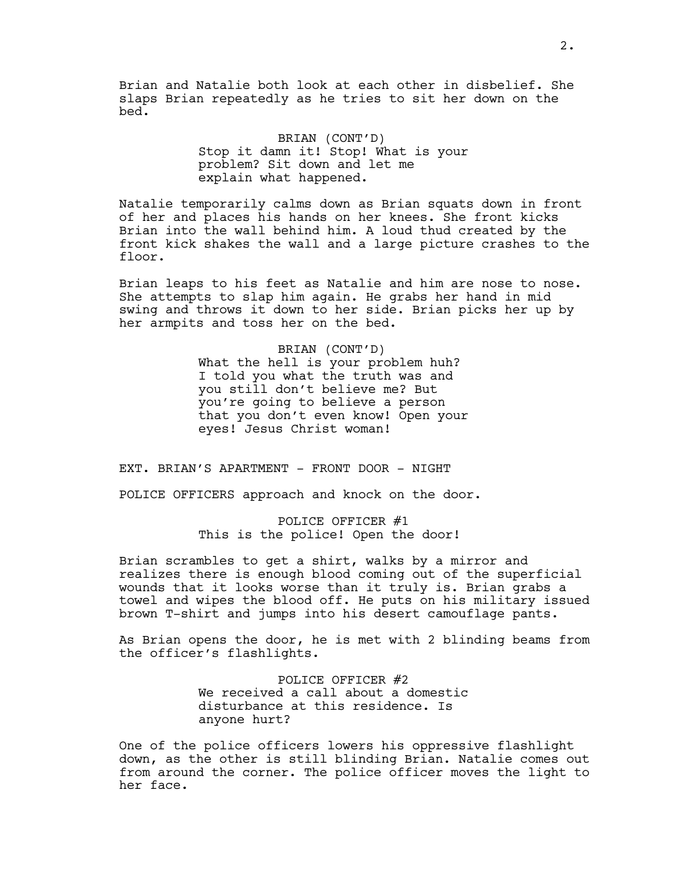Brian and Natalie both look at each other in disbelief. She slaps Brian repeatedly as he tries to sit her down on the bed.

> BRIAN (CONT'D) Stop it damn it! Stop! What is your problem? Sit down and let me explain what happened.

Natalie temporarily calms down as Brian squats down in front of her and places his hands on her knees. She front kicks Brian into the wall behind him. A loud thud created by the front kick shakes the wall and a large picture crashes to the floor.

Brian leaps to his feet as Natalie and him are nose to nose. She attempts to slap him again. He grabs her hand in mid swing and throws it down to her side. Brian picks her up by her armpits and toss her on the bed.

> BRIAN (CONT'D) What the hell is your problem huh? I told you what the truth was and you still don't believe me? But you're going to believe a person that you don't even know! Open your eyes! Jesus Christ woman!

EXT. BRIAN'S APARTMENT - FRONT DOOR - NIGHT

POLICE OFFICERS approach and knock on the door.

POLICE OFFICER #1 This is the police! Open the door!

Brian scrambles to get a shirt, walks by a mirror and realizes there is enough blood coming out of the superficial wounds that it looks worse than it truly is. Brian grabs a towel and wipes the blood off. He puts on his military issued brown T-shirt and jumps into his desert camouflage pants.

As Brian opens the door, he is met with 2 blinding beams from the officer's flashlights.

> POLICE OFFICER #2 We received a call about a domestic disturbance at this residence. Is anyone hurt?

One of the police officers lowers his oppressive flashlight down, as the other is still blinding Brian. Natalie comes out from around the corner. The police officer moves the light to her face.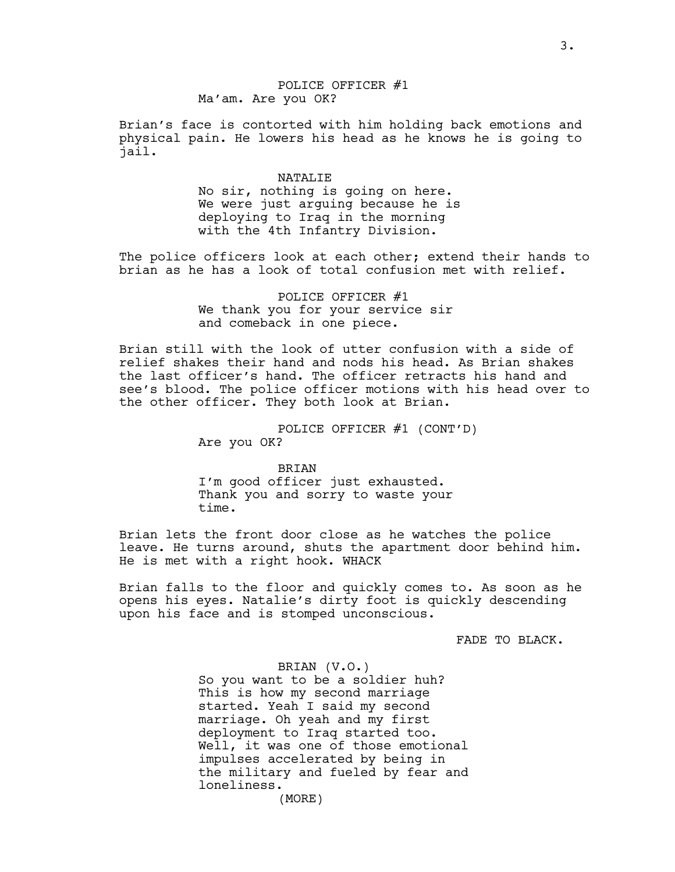Brian's face is contorted with him holding back emotions and physical pain. He lowers his head as he knows he is going to jail.

#### NATALIE

No sir, nothing is going on here. We were just arguing because he is deploying to Iraq in the morning with the 4th Infantry Division.

The police officers look at each other; extend their hands to brian as he has a look of total confusion met with relief.

> POLICE OFFICER #1 We thank you for your service sir and comeback in one piece.

Brian still with the look of utter confusion with a side of relief shakes their hand and nods his head. As Brian shakes the last officer's hand. The officer retracts his hand and see's blood. The police officer motions with his head over to the other officer. They both look at Brian.

> POLICE OFFICER #1 (CONT'D) Are you OK?

BRIAN I'm good officer just exhausted. Thank you and sorry to waste your time.

Brian lets the front door close as he watches the police leave. He turns around, shuts the apartment door behind him. He is met with a right hook. WHACK

Brian falls to the floor and quickly comes to. As soon as he opens his eyes. Natalie's dirty foot is quickly descending upon his face and is stomped unconscious.

FADE TO BLACK.

# BRIAN (V.O.)

So you want to be a soldier huh? This is how my second marriage started. Yeah I said my second marriage. Oh yeah and my first deployment to Iraq started too. Well, it was one of those emotional impulses accelerated by being in the military and fueled by fear and loneliness.

(MORE)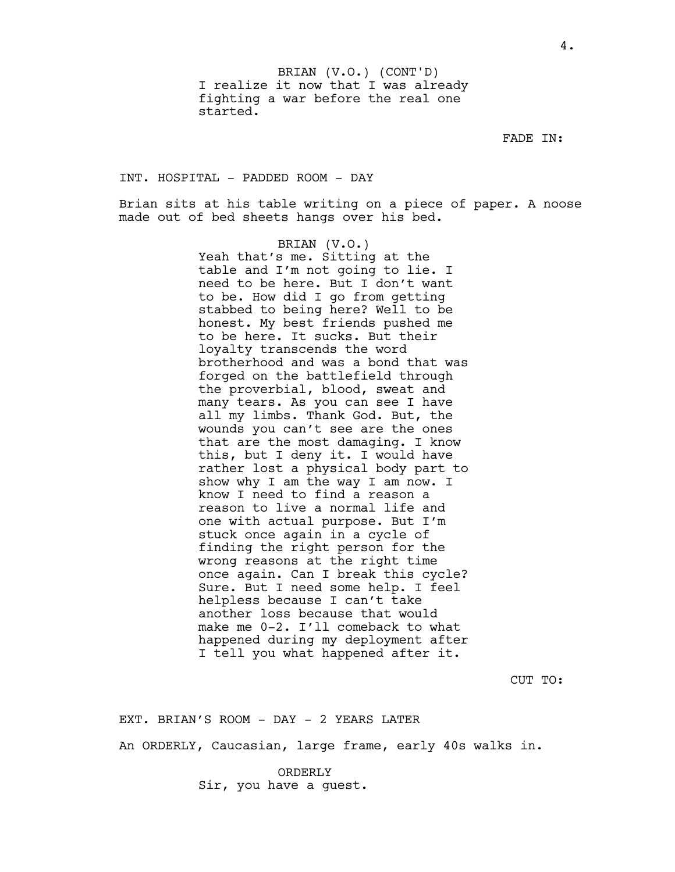I realize it now that I was already fighting a war before the real one started. BRIAN (V.O.) (CONT'D)

FADE IN:

INT. HOSPITAL - PADDED ROOM - DAY

Brian sits at his table writing on a piece of paper. A noose made out of bed sheets hangs over his bed.

> BRIAN (V.O.) Yeah that's me. Sitting at the table and I'm not going to lie. I need to be here. But I don't want to be. How did I go from getting stabbed to being here? Well to be honest. My best friends pushed me to be here. It sucks. But their loyalty transcends the word brotherhood and was a bond that was forged on the battlefield through the proverbial, blood, sweat and many tears. As you can see I have all my limbs. Thank God. But, the wounds you can't see are the ones that are the most damaging. I know this, but I deny it. I would have rather lost a physical body part to show why I am the way I am now. I know I need to find a reason a reason to live a normal life and one with actual purpose. But I'm stuck once again in a cycle of finding the right person for the wrong reasons at the right time once again. Can I break this cycle? Sure. But I need some help. I feel helpless because I can't take another loss because that would make me 0-2. I'll comeback to what happened during my deployment after I tell you what happened after it.

> > CUT TO:

EXT. BRIAN'S ROOM - DAY - 2 YEARS LATER

An ORDERLY, Caucasian, large frame, early 40s walks in.

ORDERLY Sir, you have a guest.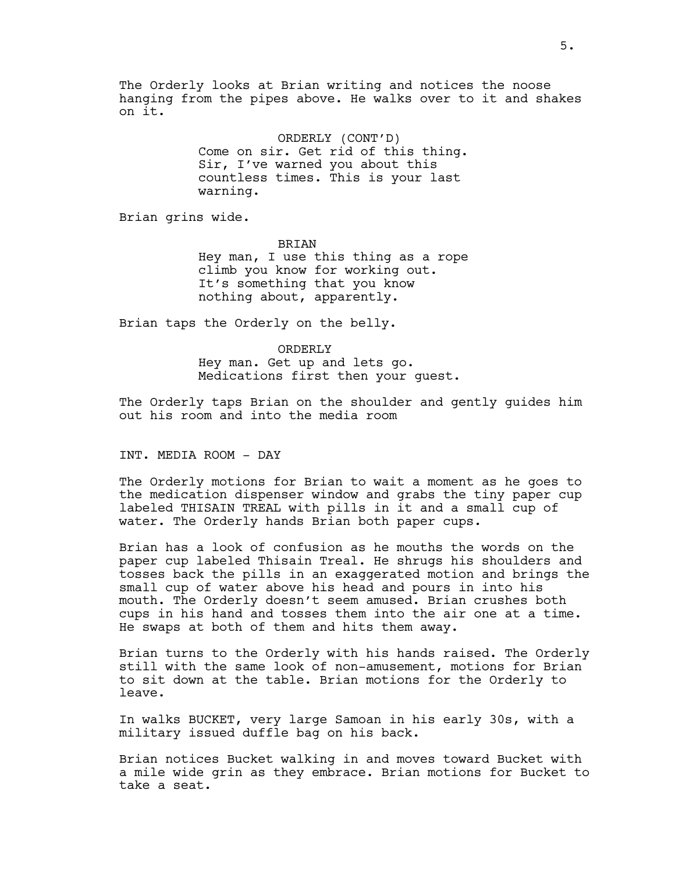The Orderly looks at Brian writing and notices the noose hanging from the pipes above. He walks over to it and shakes on it.

> ORDERLY (CONT'D) Come on sir. Get rid of this thing. Sir, I've warned you about this countless times. This is your last warning.

Brian grins wide.

BRIAN Hey man, I use this thing as a rope climb you know for working out. It's something that you know nothing about, apparently.

Brian taps the Orderly on the belly.

ORDERLY Hey man. Get up and lets go. Medications first then your guest.

The Orderly taps Brian on the shoulder and gently guides him out his room and into the media room

INT. MEDIA ROOM - DAY

The Orderly motions for Brian to wait a moment as he goes to the medication dispenser window and grabs the tiny paper cup labeled THISAIN TREAL with pills in it and a small cup of water. The Orderly hands Brian both paper cups.

Brian has a look of confusion as he mouths the words on the paper cup labeled Thisain Treal. He shrugs his shoulders and tosses back the pills in an exaggerated motion and brings the small cup of water above his head and pours in into his mouth. The Orderly doesn't seem amused. Brian crushes both cups in his hand and tosses them into the air one at a time. He swaps at both of them and hits them away.

Brian turns to the Orderly with his hands raised. The Orderly still with the same look of non-amusement, motions for Brian to sit down at the table. Brian motions for the Orderly to leave.

In walks BUCKET, very large Samoan in his early 30s, with a military issued duffle bag on his back.

Brian notices Bucket walking in and moves toward Bucket with a mile wide grin as they embrace. Brian motions for Bucket to take a seat.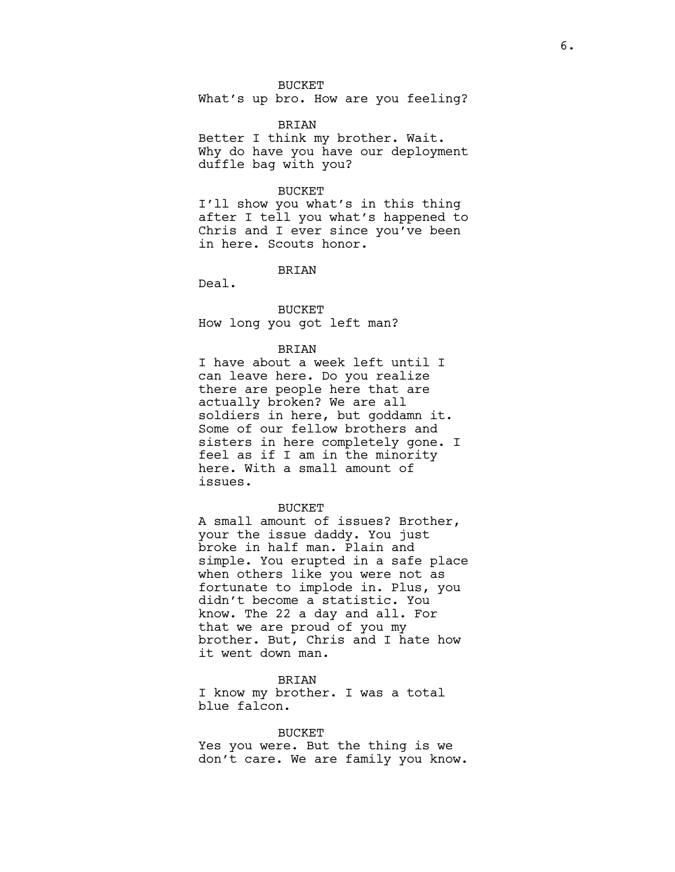### BUCKET

What's up bro. How are you feeling?

### BRIAN

Better I think my brother. Wait. Why do have you have our deployment duffle bag with you?

### BUCKET

I'll show you what's in this thing after I tell you what's happened to Chris and I ever since you've been in here. Scouts honor.

BRIAN

Deal.

BUCKET How long you got left man?

#### BRIAN

I have about a week left until I can leave here. Do you realize there are people here that are actually broken? We are all soldiers in here, but goddamn it. Some of our fellow brothers and sisters in here completely gone. I feel as if I am in the minority here. With a small amount of issues.

#### BUCKET

A small amount of issues? Brother, your the issue daddy. You just broke in half man. Plain and simple. You erupted in a safe place when others like you were not as fortunate to implode in. Plus, you didn't become a statistic. You know. The 22 a day and all. For that we are proud of you my brother. But, Chris and I hate how it went down man.

#### BRIAN

I know my brother. I was a total blue falcon.

### BUCKET

Yes you were. But the thing is we don't care. We are family you know.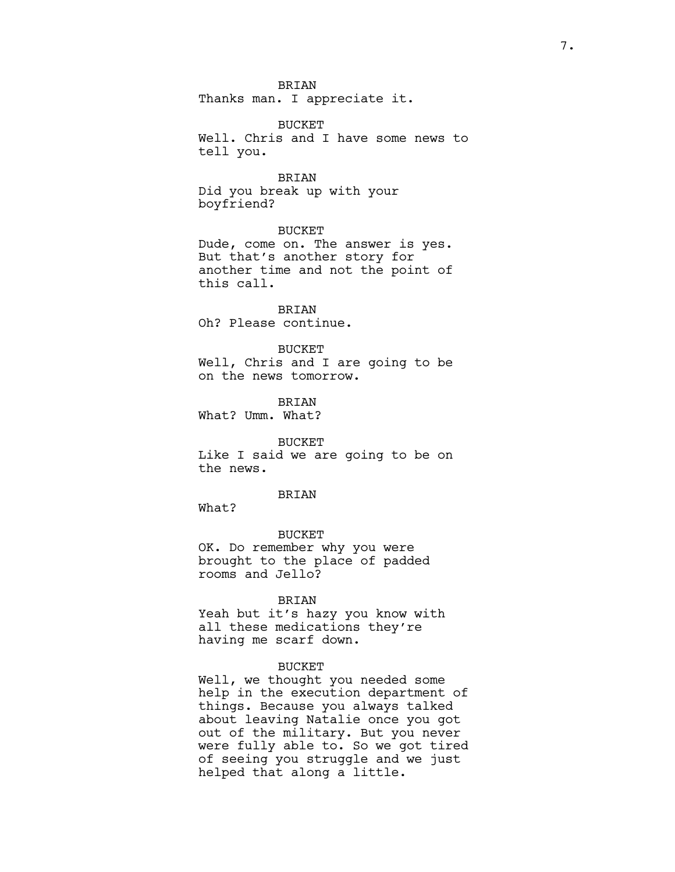**BRIAN** 

Thanks man. I appreciate it.

BUCKET Well. Chris and I have some news to tell you.

BRIAN Did you break up with your boyfriend?

BUCKET Dude, come on. The answer is yes. But that's another story for another time and not the point of this call.

BRIAN Oh? Please continue.

BUCKET Well, Chris and I are going to be on the news tomorrow.

**BRIAN** What? Umm. What?

BUCKET Like I said we are going to be on the news.

## **BRIAN**

What?

BUCKET OK. Do remember why you were brought to the place of padded rooms and Jello?

## BRIAN

Yeah but it's hazy you know with all these medications they're having me scarf down.

## BUCKET

Well, we thought you needed some help in the execution department of things. Because you always talked about leaving Natalie once you got out of the military. But you never were fully able to. So we got tired of seeing you struggle and we just helped that along a little.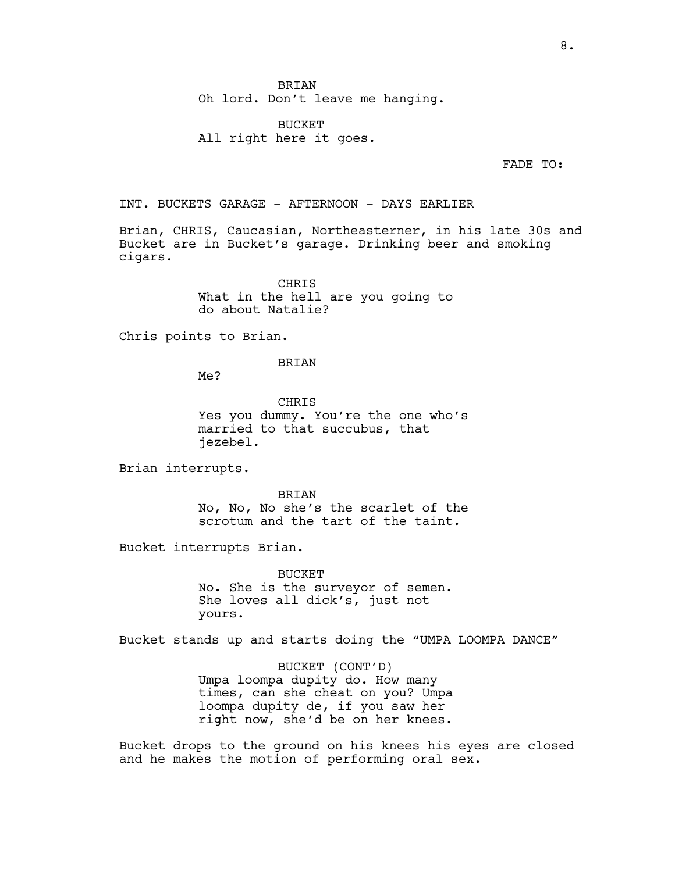BUCKET All right here it goes.

FADE TO:

INT. BUCKETS GARAGE - AFTERNOON - DAYS EARLIER

Brian, CHRIS, Caucasian, Northeasterner, in his late 30s and Bucket are in Bucket's garage. Drinking beer and smoking cigars.

> **CHRIS** What in the hell are you going to do about Natalie?

Chris points to Brian.

BRIAN

Me?

**CHRIS** Yes you dummy. You're the one who's married to that succubus, that jezebel.

Brian interrupts.

BRIAN No, No, No she's the scarlet of the scrotum and the tart of the taint.

Bucket interrupts Brian.

BUCKET No. She is the surveyor of semen. She loves all dick's, just not yours.

Bucket stands up and starts doing the "UMPA LOOMPA DANCE"

BUCKET (CONT'D) Umpa loompa dupity do. How many times, can she cheat on you? Umpa loompa dupity de, if you saw her right now, she'd be on her knees.

Bucket drops to the ground on his knees his eyes are closed and he makes the motion of performing oral sex.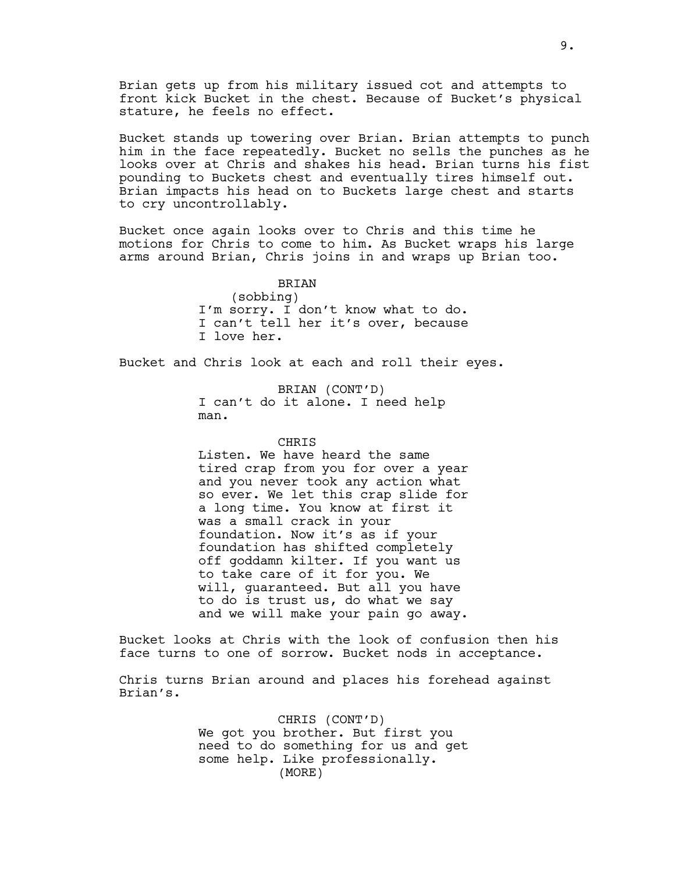Brian gets up from his military issued cot and attempts to front kick Bucket in the chest. Because of Bucket's physical stature, he feels no effect.

Bucket stands up towering over Brian. Brian attempts to punch him in the face repeatedly. Bucket no sells the punches as he looks over at Chris and shakes his head. Brian turns his fist pounding to Buckets chest and eventually tires himself out. Brian impacts his head on to Buckets large chest and starts to cry uncontrollably.

Bucket once again looks over to Chris and this time he motions for Chris to come to him. As Bucket wraps his large arms around Brian, Chris joins in and wraps up Brian too.

> BRIAN (sobbing) I'm sorry. I don't know what to do. I can't tell her it's over, because I love her.

Bucket and Chris look at each and roll their eyes.

BRIAN (CONT'D) I can't do it alone. I need help man.

### **CHRIS**

Listen. We have heard the same tired crap from you for over a year and you never took any action what so ever. We let this crap slide for a long time. You know at first it was a small crack in your foundation. Now it's as if your foundation has shifted completely off goddamn kilter. If you want us to take care of it for you. We will, guaranteed. But all you have to do is trust us, do what we say and we will make your pain go away.

Bucket looks at Chris with the look of confusion then his face turns to one of sorrow. Bucket nods in acceptance.

Chris turns Brian around and places his forehead against Brian's.

> CHRIS (CONT'D) We got you brother. But first you need to do something for us and get some help. Like professionally. (MORE)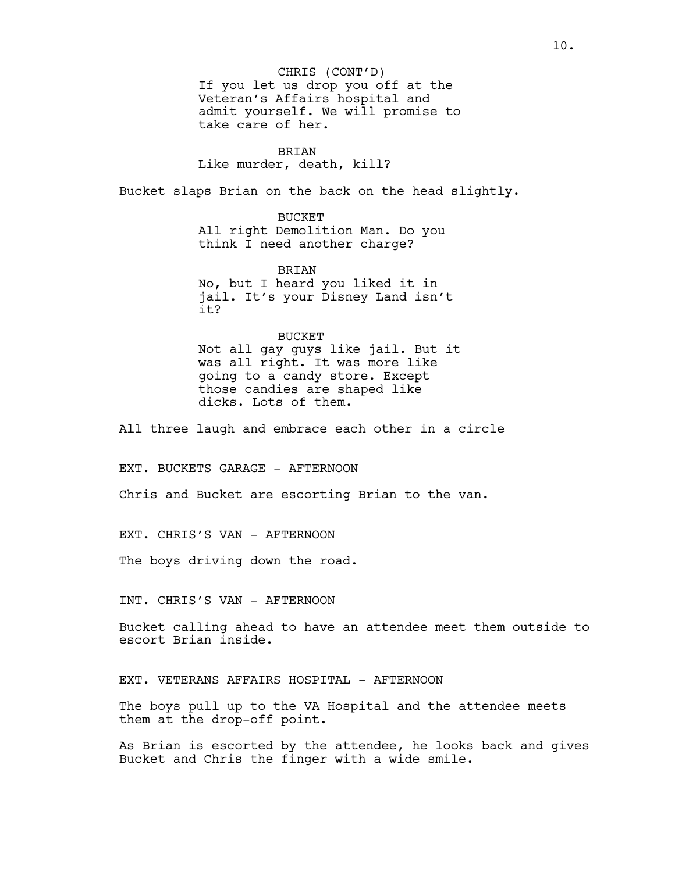If you let us drop you off at the Veteran's Affairs hospital and admit yourself. We will promise to take care of her. CHRIS (CONT'D)

## BRIAN

Like murder, death, kill?

Bucket slaps Brian on the back on the head slightly.

BUCKET

All right Demolition Man. Do you think I need another charge?

BRIAN No, but I heard you liked it in jail. It's your Disney Land isn't it?

### BUCKET

Not all gay guys like jail. But it was all right. It was more like going to a candy store. Except those candies are shaped like dicks. Lots of them.

All three laugh and embrace each other in a circle

EXT. BUCKETS GARAGE - AFTERNOON

Chris and Bucket are escorting Brian to the van.

EXT. CHRIS'S VAN - AFTERNOON

The boys driving down the road.

INT. CHRIS'S VAN - AFTERNOON

Bucket calling ahead to have an attendee meet them outside to escort Brian inside.

EXT. VETERANS AFFAIRS HOSPITAL - AFTERNOON

The boys pull up to the VA Hospital and the attendee meets them at the drop-off point.

As Brian is escorted by the attendee, he looks back and gives Bucket and Chris the finger with a wide smile.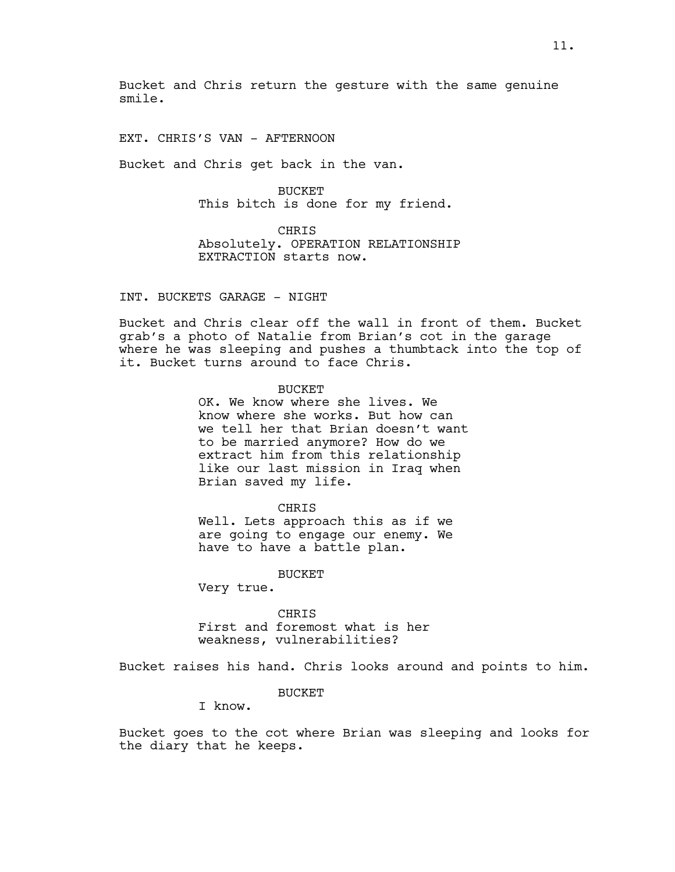Bucket and Chris return the gesture with the same genuine smile.

EXT. CHRIS'S VAN - AFTERNOON

Bucket and Chris get back in the van.

**BUCKET** This bitch is done for my friend.

CHRIS Absolutely. OPERATION RELATIONSHIP EXTRACTION starts now.

# INT. BUCKETS GARAGE - NIGHT

Bucket and Chris clear off the wall in front of them. Bucket grab's a photo of Natalie from Brian's cot in the garage where he was sleeping and pushes a thumbtack into the top of it. Bucket turns around to face Chris.

**BUCKET** 

OK. We know where she lives. We know where she works. But how can we tell her that Brian doesn't want to be married anymore? How do we extract him from this relationship like our last mission in Iraq when Brian saved my life.

CHRIS

Well. Lets approach this as if we are going to engage our enemy. We have to have a battle plan.

BUCKET

Very true.

CHRIS First and foremost what is her weakness, vulnerabilities?

Bucket raises his hand. Chris looks around and points to him.

**BUCKET** 

I know.

Bucket goes to the cot where Brian was sleeping and looks for the diary that he keeps.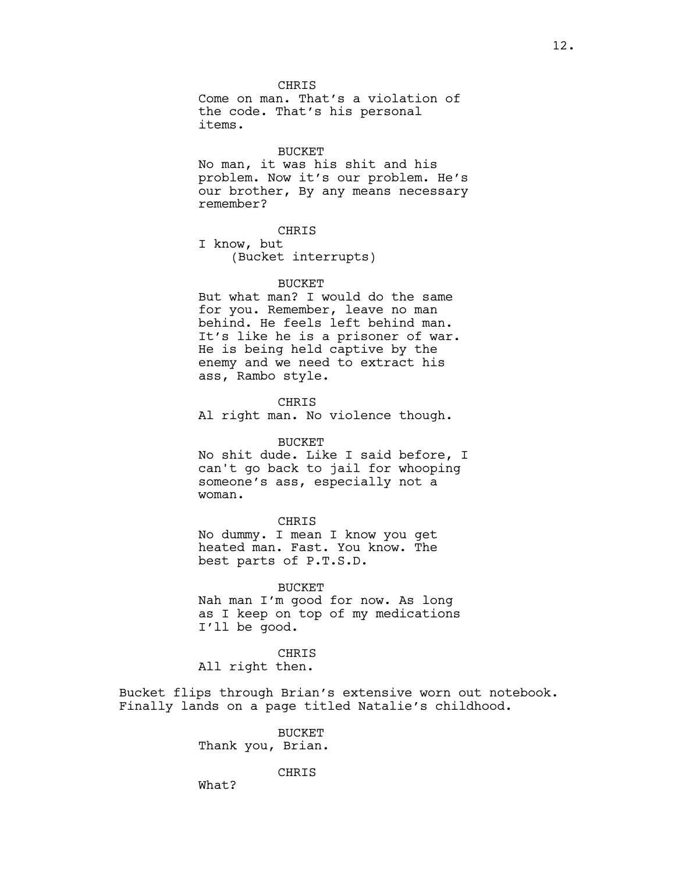**CHRIS** Come on man. That's a violation of the code. That's his personal items.

#### BUCKET

No man, it was his shit and his problem. Now it's our problem. He's our brother, By any means necessary remember?

CHRIS

I know, but (Bucket interrupts)

### **BUCKET**

But what man? I would do the same for you. Remember, leave no man behind. He feels left behind man. It's like he is a prisoner of war. He is being held captive by the enemy and we need to extract his ass, Rambo style.

CHRIS Al right man. No violence though.

### BUCKET

No shit dude. Like I said before, I can't go back to jail for whooping someone's ass, especially not a woman.

### CHRIS

No dummy. I mean I know you get heated man. Fast. You know. The best parts of P.T.S.D.

BUCKET Nah man I'm good for now. As long as I keep on top of my medications I'll be good.

CHRIS All right then.

Bucket flips through Brian's extensive worn out notebook. Finally lands on a page titled Natalie's childhood.

> BUCKET Thank you, Brian.

> > CHRIS

What?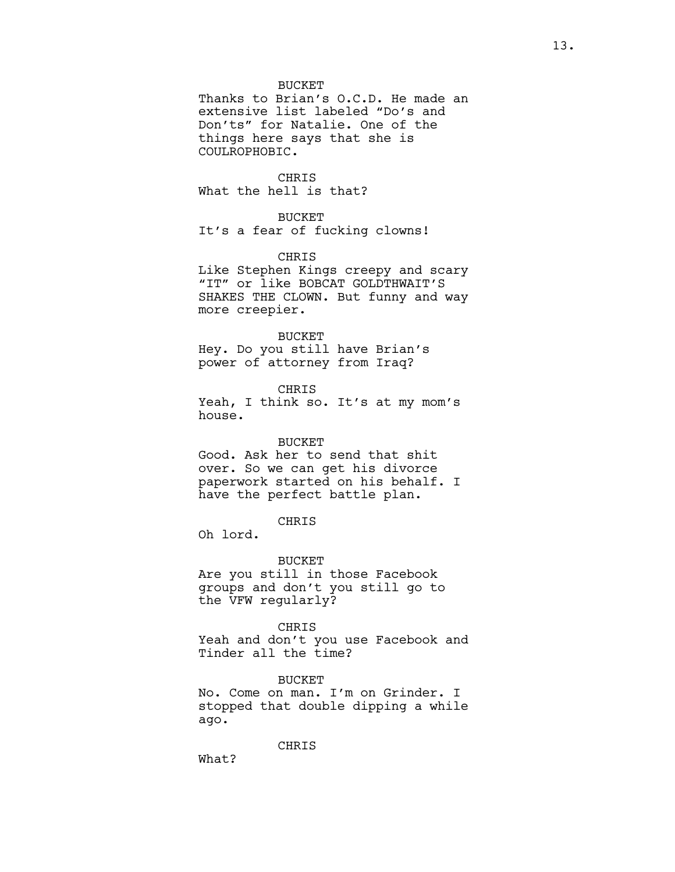### **BUCKET**

Thanks to Brian's O.C.D. He made an extensive list labeled "Do's and Don'ts" for Natalie. One of the things here says that she is COULROPHOBIC.

CHRIS What the hell is that?

## BUCKET

It's a fear of fucking clowns!

CHRIS

Like Stephen Kings creepy and scary "IT" or like BOBCAT GOLDTHWAIT'S SHAKES THE CLOWN. But funny and way more creepier.

### BUCKET

Hey. Do you still have Brian's power of attorney from Iraq?

CHRIS Yeah, I think so. It's at my mom's house.

#### BUCKET

Good. Ask her to send that shit over. So we can get his divorce paperwork started on his behalf. I have the perfect battle plan.

# CHRIS

Oh lord.

### BUCKET

Are you still in those Facebook groups and don't you still go to the VFW regularly?

#### CHRIS

Yeah and don't you use Facebook and Tinder all the time?

### BUCKET

No. Come on man. I'm on Grinder. I stopped that double dipping a while ago.

CHRIS

What?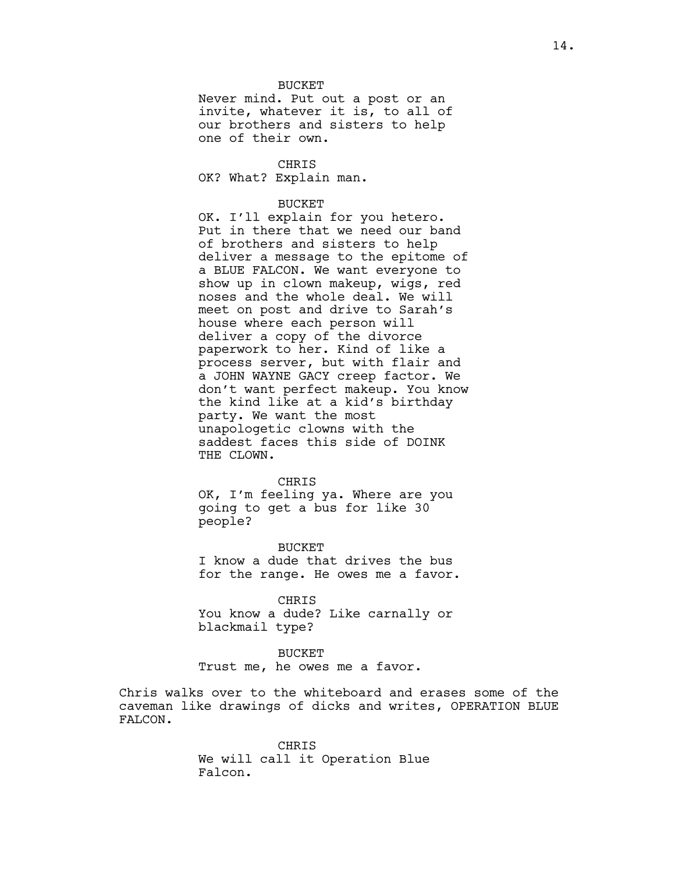### **BUCKET**

Never mind. Put out a post or an invite, whatever it is, to all of our brothers and sisters to help one of their own.

CHRIS OK? What? Explain man.

#### BUCKET

OK. I'll explain for you hetero. Put in there that we need our band of brothers and sisters to help deliver a message to the epitome of a BLUE FALCON. We want everyone to show up in clown makeup, wigs, red noses and the whole deal. We will meet on post and drive to Sarah's house where each person will deliver a copy of the divorce paperwork to her. Kind of like a process server, but with flair and a JOHN WAYNE GACY creep factor. We don't want perfect makeup. You know the kind like at a kid's birthday party. We want the most unapologetic clowns with the saddest faces this side of DOINK THE CLOWN.

#### CHRIS

OK, I'm feeling ya. Where are you going to get a bus for like 30 people?

**BUCKET** I know a dude that drives the bus for the range. He owes me a favor.

CHRIS

You know a dude? Like carnally or blackmail type?

## BUCKET

Trust me, he owes me a favor.

Chris walks over to the whiteboard and erases some of the caveman like drawings of dicks and writes, OPERATION BLUE FALCON.

> CHRIS We will call it Operation Blue Falcon.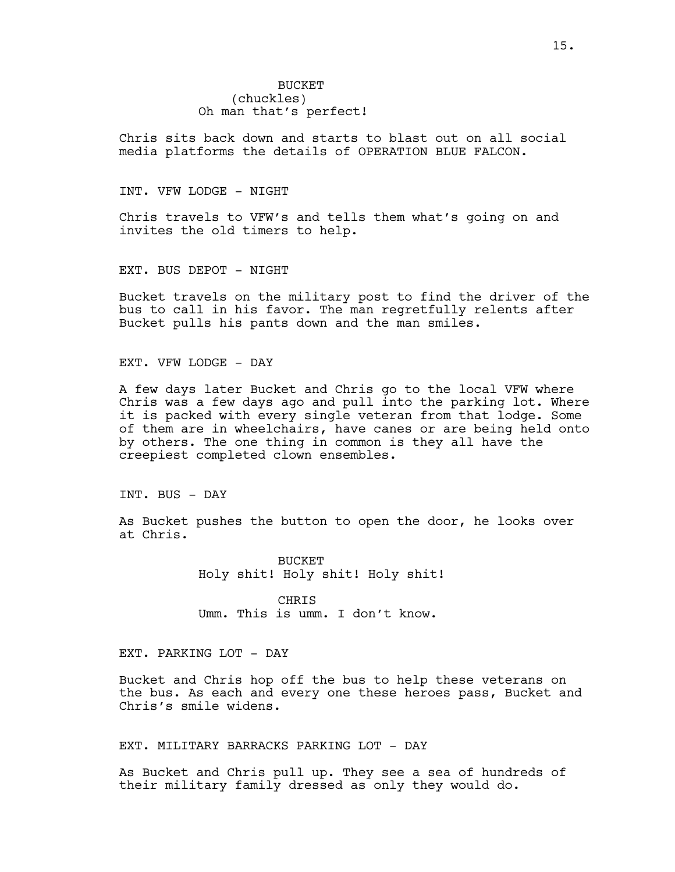# **BUCKET** (chuckles) Oh man that's perfect!

Chris sits back down and starts to blast out on all social media platforms the details of OPERATION BLUE FALCON.

### INT. VFW LODGE - NIGHT

Chris travels to VFW's and tells them what's going on and invites the old timers to help.

EXT. BUS DEPOT - NIGHT

Bucket travels on the military post to find the driver of the bus to call in his favor. The man regretfully relents after Bucket pulls his pants down and the man smiles.

EXT. VFW LODGE - DAY

A few days later Bucket and Chris go to the local VFW where Chris was a few days ago and pull into the parking lot. Where it is packed with every single veteran from that lodge. Some of them are in wheelchairs, have canes or are being held onto by others. The one thing in common is they all have the creepiest completed clown ensembles.

INT. BUS - DAY

As Bucket pushes the button to open the door, he looks over at Chris.

> **BUCKET** Holy shit! Holy shit! Holy shit!

CHRIS Umm. This is umm. I don't know.

# EXT. PARKING LOT - DAY

Bucket and Chris hop off the bus to help these veterans on the bus. As each and every one these heroes pass, Bucket and Chris's smile widens.

### EXT. MILITARY BARRACKS PARKING LOT - DAY

As Bucket and Chris pull up. They see a sea of hundreds of their military family dressed as only they would do.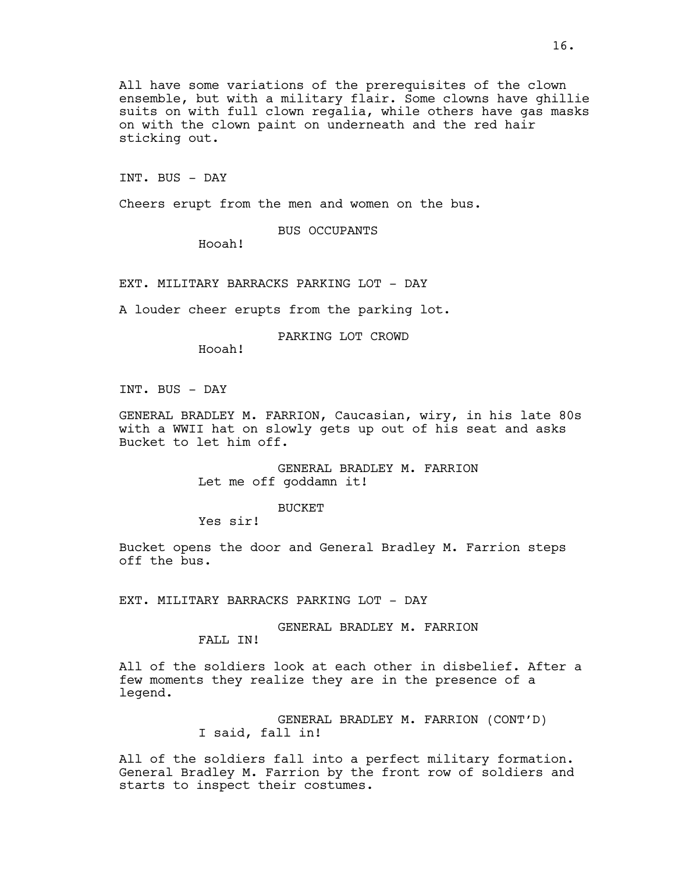All have some variations of the prerequisites of the clown ensemble, but with a military flair. Some clowns have ghillie suits on with full clown regalia, while others have gas masks on with the clown paint on underneath and the red hair sticking out.

INT. BUS - DAY

Cheers erupt from the men and women on the bus.

BUS OCCUPANTS

Hooah!

EXT. MILITARY BARRACKS PARKING LOT - DAY

A louder cheer erupts from the parking lot.

PARKING LOT CROWD

Hooah!

INT. BUS - DAY

GENERAL BRADLEY M. FARRION, Caucasian, wiry, in his late 80s with a WWII hat on slowly gets up out of his seat and asks Bucket to let him off.

> GENERAL BRADLEY M. FARRION Let me off goddamn it!

> > BUCKET

Yes sir!

Bucket opens the door and General Bradley M. Farrion steps off the bus.

EXT. MILITARY BARRACKS PARKING LOT - DAY

GENERAL BRADLEY M. FARRION FALL IN!

All of the soldiers look at each other in disbelief. After a few moments they realize they are in the presence of a legend.

> GENERAL BRADLEY M. FARRION (CONT'D) I said, fall in!

All of the soldiers fall into a perfect military formation. General Bradley M. Farrion by the front row of soldiers and starts to inspect their costumes.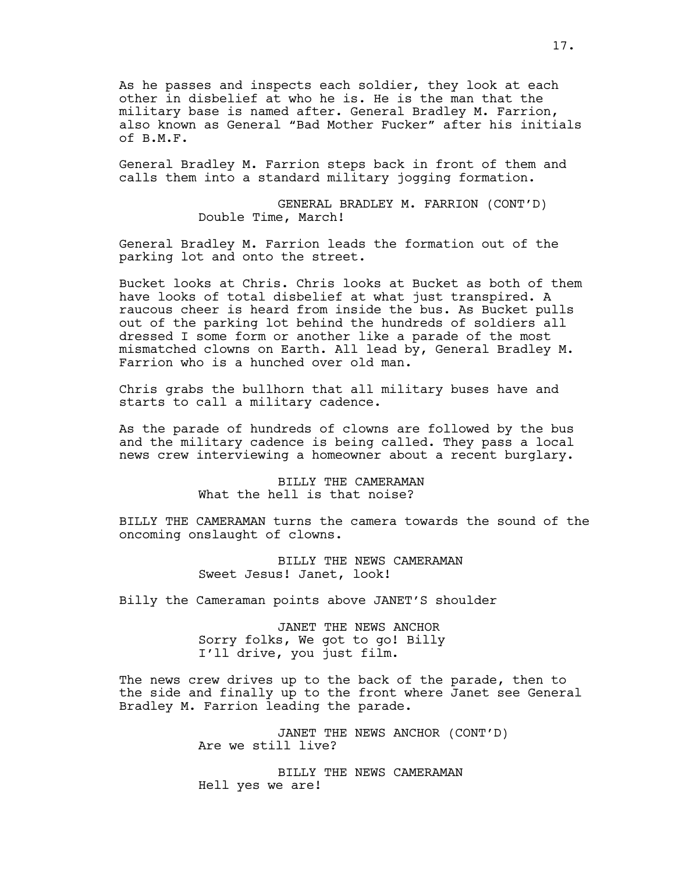As he passes and inspects each soldier, they look at each other in disbelief at who he is. He is the man that the military base is named after. General Bradley M. Farrion, also known as General "Bad Mother Fucker" after his initials of B.M.F.

General Bradley M. Farrion steps back in front of them and calls them into a standard military jogging formation.

> GENERAL BRADLEY M. FARRION (CONT'D) Double Time, March!

General Bradley M. Farrion leads the formation out of the parking lot and onto the street.

Bucket looks at Chris. Chris looks at Bucket as both of them have looks of total disbelief at what just transpired. A raucous cheer is heard from inside the bus. As Bucket pulls out of the parking lot behind the hundreds of soldiers all dressed I some form or another like a parade of the most mismatched clowns on Earth. All lead by, General Bradley M. Farrion who is a hunched over old man.

Chris grabs the bullhorn that all military buses have and starts to call a military cadence.

As the parade of hundreds of clowns are followed by the bus and the military cadence is being called. They pass a local news crew interviewing a homeowner about a recent burglary.

> BILLY THE CAMERAMAN What the hell is that noise?

BILLY THE CAMERAMAN turns the camera towards the sound of the oncoming onslaught of clowns.

> BILLY THE NEWS CAMERAMAN Sweet Jesus! Janet, look!

Billy the Cameraman points above JANET'S shoulder

JANET THE NEWS ANCHOR Sorry folks, We got to go! Billy I'll drive, you just film.

The news crew drives up to the back of the parade, then to the side and finally up to the front where Janet see General Bradley M. Farrion leading the parade.

> JANET THE NEWS ANCHOR (CONT'D) Are we still live?

BILLY THE NEWS CAMERAMAN Hell yes we are!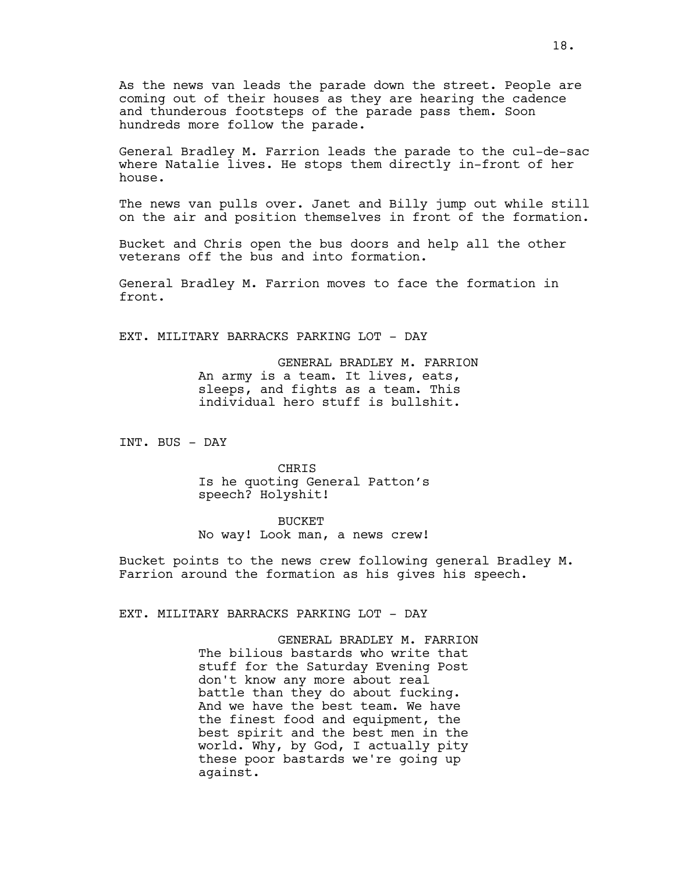As the news van leads the parade down the street. People are coming out of their houses as they are hearing the cadence and thunderous footsteps of the parade pass them. Soon hundreds more follow the parade.

General Bradley M. Farrion leads the parade to the cul-de-sac where Natalie lives. He stops them directly in-front of her house.

The news van pulls over. Janet and Billy jump out while still on the air and position themselves in front of the formation.

Bucket and Chris open the bus doors and help all the other veterans off the bus and into formation.

General Bradley M. Farrion moves to face the formation in front.

EXT. MILITARY BARRACKS PARKING LOT - DAY

GENERAL BRADLEY M. FARRION An army is a team. It lives, eats, sleeps, and fights as a team. This individual hero stuff is bullshit.

INT. BUS - DAY

CHRIS Is he quoting General Patton's speech? Holyshit!

BUCKET

No way! Look man, a news crew!

Bucket points to the news crew following general Bradley M. Farrion around the formation as his gives his speech.

EXT. MILITARY BARRACKS PARKING LOT - DAY

GENERAL BRADLEY M. FARRION The bilious bastards who write that stuff for the Saturday Evening Post don't know any more about real battle than they do about fucking. And we have the best team. We have the finest food and equipment, the best spirit and the best men in the world. Why, by God, I actually pity these poor bastards we're going up against.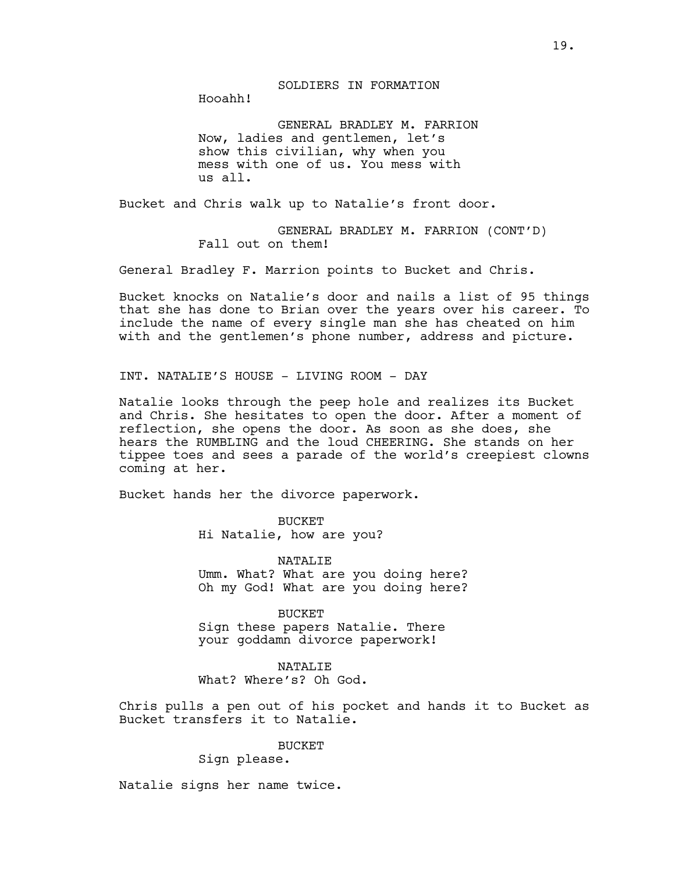SOLDIERS IN FORMATION

Hooahh!

GENERAL BRADLEY M. FARRION Now, ladies and gentlemen, let's show this civilian, why when you mess with one of us. You mess with us all.

Bucket and Chris walk up to Natalie's front door.

GENERAL BRADLEY M. FARRION (CONT'D) Fall out on them!

General Bradley F. Marrion points to Bucket and Chris.

Bucket knocks on Natalie's door and nails a list of 95 things that she has done to Brian over the years over his career. To include the name of every single man she has cheated on him with and the gentlemen's phone number, address and picture.

INT. NATALIE'S HOUSE - LIVING ROOM - DAY

Natalie looks through the peep hole and realizes its Bucket and Chris. She hesitates to open the door. After a moment of reflection, she opens the door. As soon as she does, she hears the RUMBLING and the loud CHEERING. She stands on her tippee toes and sees a parade of the world's creepiest clowns coming at her.

Bucket hands her the divorce paperwork.

**BUCKET** Hi Natalie, how are you?

NATALIE Umm. What? What are you doing here? Oh my God! What are you doing here?

BUCKET Sign these papers Natalie. There your goddamn divorce paperwork!

NATALIE What? Where's? Oh God.

Chris pulls a pen out of his pocket and hands it to Bucket as Bucket transfers it to Natalie.

BUCKET

Sign please.

Natalie signs her name twice.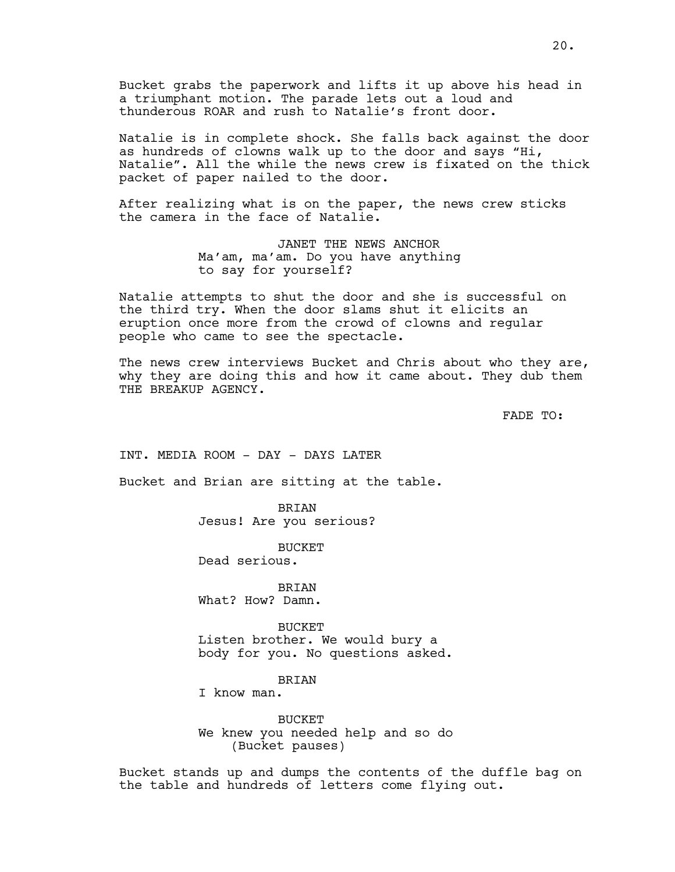Bucket grabs the paperwork and lifts it up above his head in a triumphant motion. The parade lets out a loud and thunderous ROAR and rush to Natalie's front door.

Natalie is in complete shock. She falls back against the door as hundreds of clowns walk up to the door and says "Hi, Natalie". All the while the news crew is fixated on the thick packet of paper nailed to the door.

After realizing what is on the paper, the news crew sticks the camera in the face of Natalie.

> JANET THE NEWS ANCHOR Ma'am, ma'am. Do you have anything to say for yourself?

Natalie attempts to shut the door and she is successful on the third try. When the door slams shut it elicits an eruption once more from the crowd of clowns and regular people who came to see the spectacle.

The news crew interviews Bucket and Chris about who they are, why they are doing this and how it came about. They dub them THE BREAKUP AGENCY.

FADE TO:

INT. MEDIA ROOM - DAY - DAYS LATER

Bucket and Brian are sitting at the table.

BRIAN Jesus! Are you serious?

**BUCKET** Dead serious.

BRIAN What? How? Damn.

BUCKET Listen brother. We would bury a body for you. No questions asked.

#### BRIAN

I know man.

BUCKET We knew you needed help and so do (Bucket pauses)

Bucket stands up and dumps the contents of the duffle bag on the table and hundreds of letters come flying out.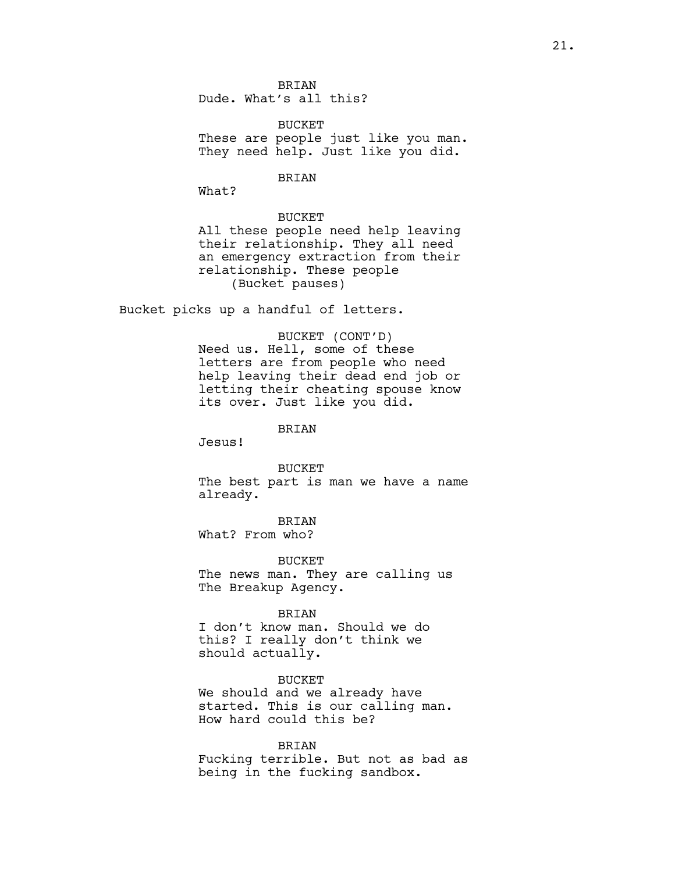BRIAN Dude. What's all this?

**BUCKET** These are people just like you man. They need help. Just like you did.

## BRIAN

What?

# BUCKET

All these people need help leaving their relationship. They all need an emergency extraction from their relationship. These people (Bucket pauses)

Bucket picks up a handful of letters.

#### BUCKET (CONT'D)

Need us. Hell, some of these letters are from people who need help leaving their dead end job or letting their cheating spouse know its over. Just like you did.

## BRIAN

Jesus!

**BUCKET** 

The best part is man we have a name already.

BRIAN What? From who?

BUCKET The news man. They are calling us The Breakup Agency.

### BRIAN

I don't know man. Should we do this? I really don't think we should actually.

BUCKET We should and we already have started. This is our calling man. How hard could this be?

#### BRIAN

Fucking terrible. But not as bad as being in the fucking sandbox.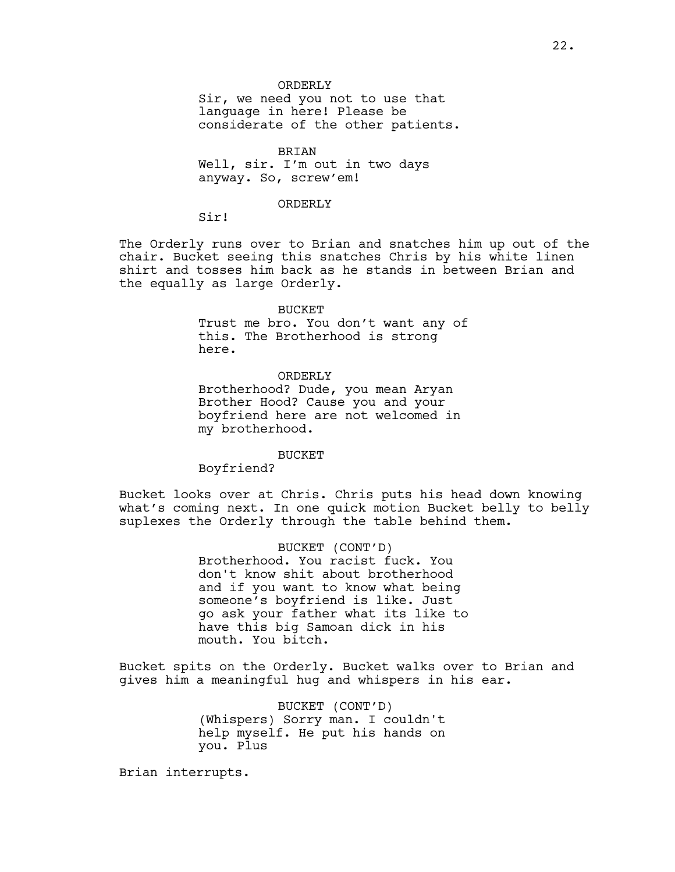Sir, we need you not to use that language in here! Please be considerate of the other patients.

BRIAN Well, sir. I'm out in two days anyway. So, screw'em!

#### ORDERLY

ORDERLY

Sir!

The Orderly runs over to Brian and snatches him up out of the chair. Bucket seeing this snatches Chris by his white linen shirt and tosses him back as he stands in between Brian and the equally as large Orderly.

### BUCKET

Trust me bro. You don't want any of this. The Brotherhood is strong here.

ORDERLY Brotherhood? Dude, you mean Aryan Brother Hood? Cause you and your boyfriend here are not welcomed in my brotherhood.

BUCKET

Boyfriend?

Bucket looks over at Chris. Chris puts his head down knowing what's coming next. In one quick motion Bucket belly to belly suplexes the Orderly through the table behind them.

> BUCKET (CONT'D) Brotherhood. You racist fuck. You don't know shit about brotherhood and if you want to know what being someone's boyfriend is like. Just go ask your father what its like to have this big Samoan dick in his mouth. You bitch.

Bucket spits on the Orderly. Bucket walks over to Brian and gives him a meaningful hug and whispers in his ear.

> BUCKET (CONT'D) (Whispers) Sorry man. I couldn't help myself. He put his hands on you. Plus

Brian interrupts.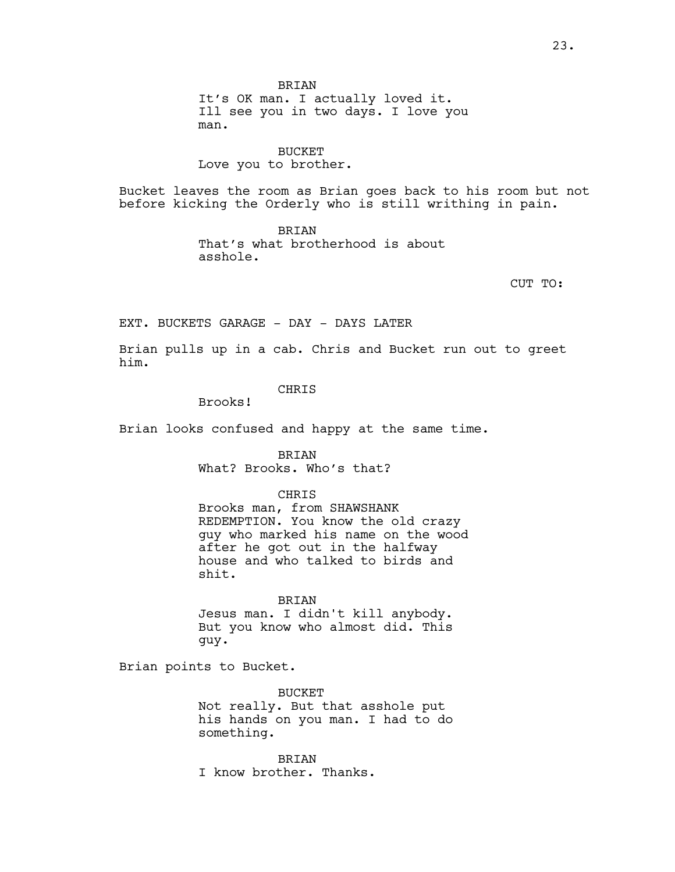**BRIAN** It's OK man. I actually loved it. Ill see you in two days. I love you man.

BUCKET Love you to brother.

Bucket leaves the room as Brian goes back to his room but not before kicking the Orderly who is still writhing in pain.

> BRIAN That's what brotherhood is about asshole.

> > CUT TO:

EXT. BUCKETS GARAGE - DAY - DAYS LATER

Brian pulls up in a cab. Chris and Bucket run out to greet him.

# CHRIS

Brooks!

Brian looks confused and happy at the same time.

BRIAN What? Brooks. Who's that?

**CHRIS** 

Brooks man, from SHAWSHANK REDEMPTION. You know the old crazy guy who marked his name on the wood after he got out in the halfway house and who talked to birds and shit.

BRIAN Jesus man. I didn't kill anybody. But you know who almost did. This guy.

Brian points to Bucket.

BUCKET Not really. But that asshole put his hands on you man. I had to do something.

BRIAN I know brother. Thanks.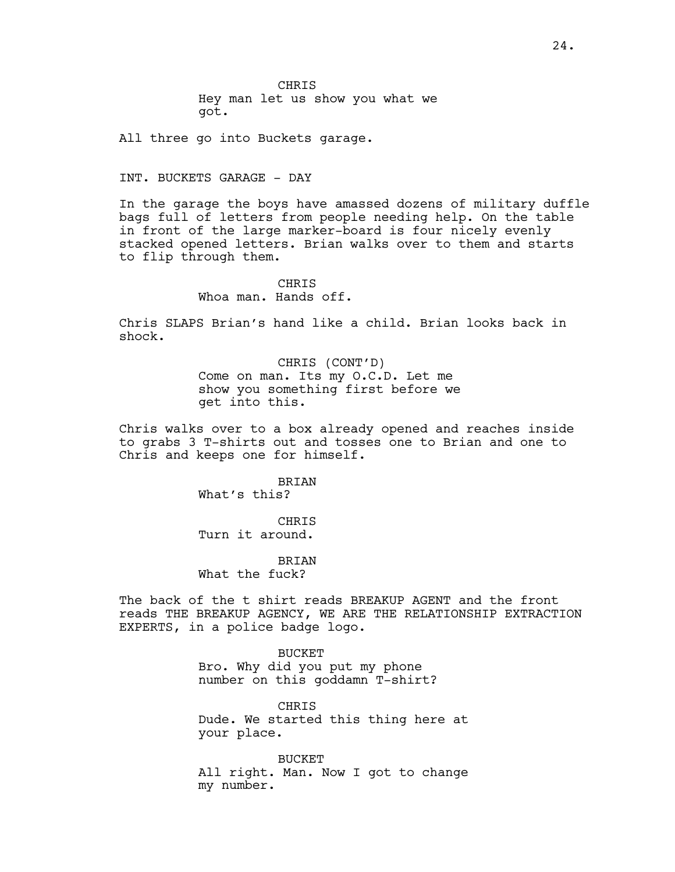**CHRIS** Hey man let us show you what we got.

All three go into Buckets garage.

#### INT. BUCKETS GARAGE - DAY

In the garage the boys have amassed dozens of military duffle bags full of letters from people needing help. On the table in front of the large marker-board is four nicely evenly stacked opened letters. Brian walks over to them and starts to flip through them.

# **CHRIS** Whoa man. Hands off.

Chris SLAPS Brian's hand like a child. Brian looks back in shock.

> CHRIS (CONT'D) Come on man. Its my O.C.D. Let me show you something first before we get into this.

Chris walks over to a box already opened and reaches inside to grabs 3 T-shirts out and tosses one to Brian and one to Chris and keeps one for himself.

> BRIAN What's this?

> **CHRIS** Turn it around.

> BRIAN What the fuck?

The back of the t shirt reads BREAKUP AGENT and the front reads THE BREAKUP AGENCY, WE ARE THE RELATIONSHIP EXTRACTION EXPERTS, in a police badge logo.

BUCKET

Bro. Why did you put my phone number on this goddamn T-shirt?

CHRIS Dude. We started this thing here at your place.

**BUCKET** All right. Man. Now I got to change my number.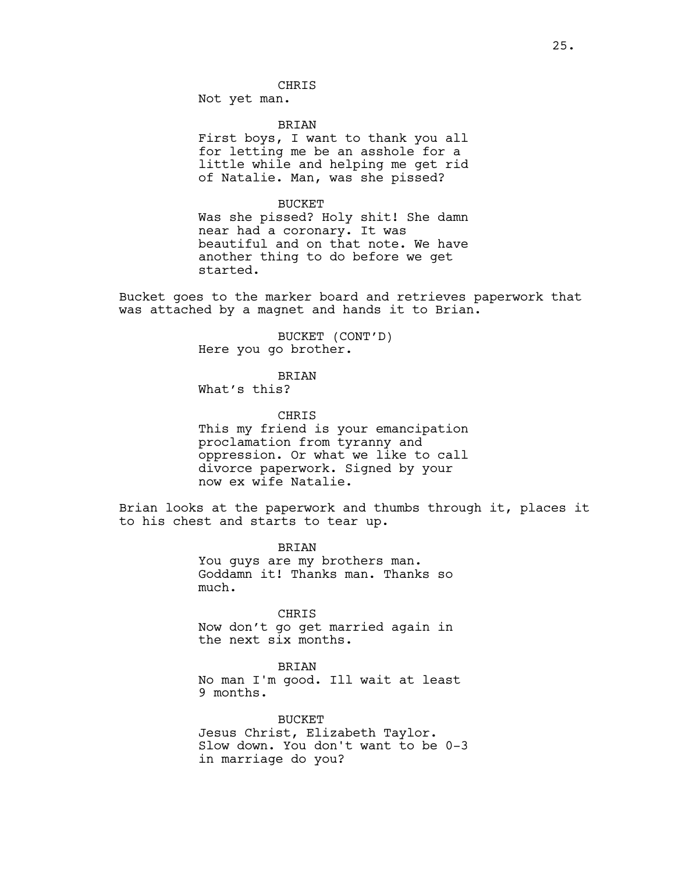**CHRIS** 

Not yet man.

BRIAN

First boys, I want to thank you all for letting me be an asshole for a little while and helping me get rid of Natalie. Man, was she pissed?

BUCKET

Was she pissed? Holy shit! She damn near had a coronary. It was beautiful and on that note. We have another thing to do before we get started.

Bucket goes to the marker board and retrieves paperwork that was attached by a magnet and hands it to Brian.

> BUCKET (CONT'D) Here you go brother.

> > **BRIAN**

What's this?

CHRIS This my friend is your emancipation proclamation from tyranny and oppression. Or what we like to call divorce paperwork. Signed by your now ex wife Natalie.

Brian looks at the paperwork and thumbs through it, places it to his chest and starts to tear up.

> BRIAN You guys are my brothers man. Goddamn it! Thanks man. Thanks so much.

> CHRIS Now don't go get married again in the next six months.

BRIAN No man I'm good. Ill wait at least 9 months.

BUCKET Jesus Christ, Elizabeth Taylor. Slow down. You don't want to be 0-3 in marriage do you?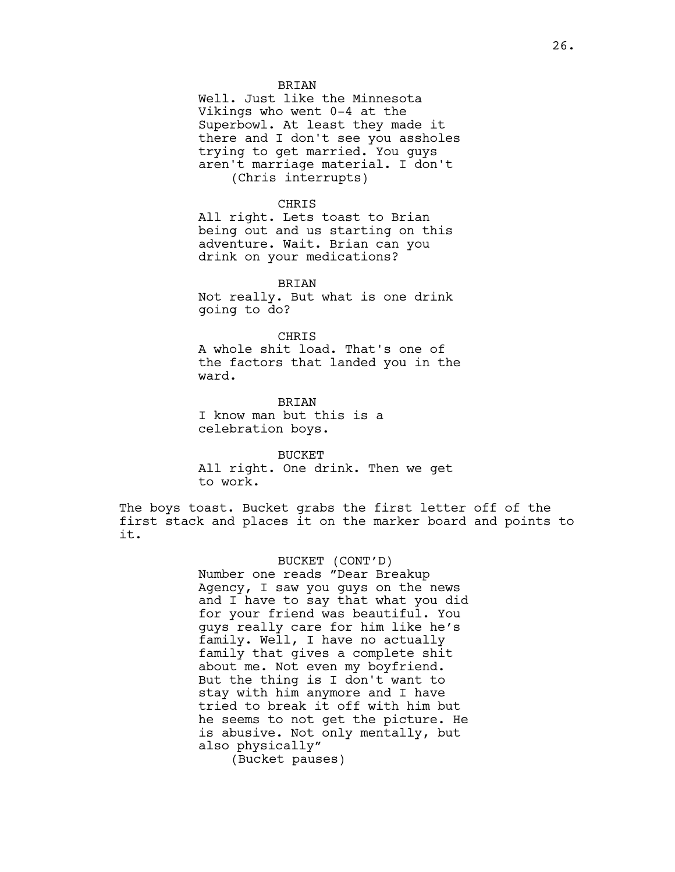### **BRIAN**

Well. Just like the Minnesota Vikings who went 0-4 at the Superbowl. At least they made it there and I don't see you assholes trying to get married. You guys aren't marriage material. I don't (Chris interrupts)

### CHRIS

All right. Lets toast to Brian being out and us starting on this adventure. Wait. Brian can you drink on your medications?

## BRIAN

Not really. But what is one drink going to do?

#### CHRIS

A whole shit load. That's one of the factors that landed you in the ward.

**BRIAN** I know man but this is a celebration boys.

BUCKET All right. One drink. Then we get to work.

The boys toast. Bucket grabs the first letter off of the first stack and places it on the marker board and points to it.

### BUCKET (CONT'D)

Number one reads "Dear Breakup Agency, I saw you guys on the news and I have to say that what you did for your friend was beautiful. You guys really care for him like he's family. Well, I have no actually family that gives a complete shit about me. Not even my boyfriend. But the thing is I don't want to stay with him anymore and I have tried to break it off with him but he seems to not get the picture. He is abusive. Not only mentally, but also physically"

(Bucket pauses)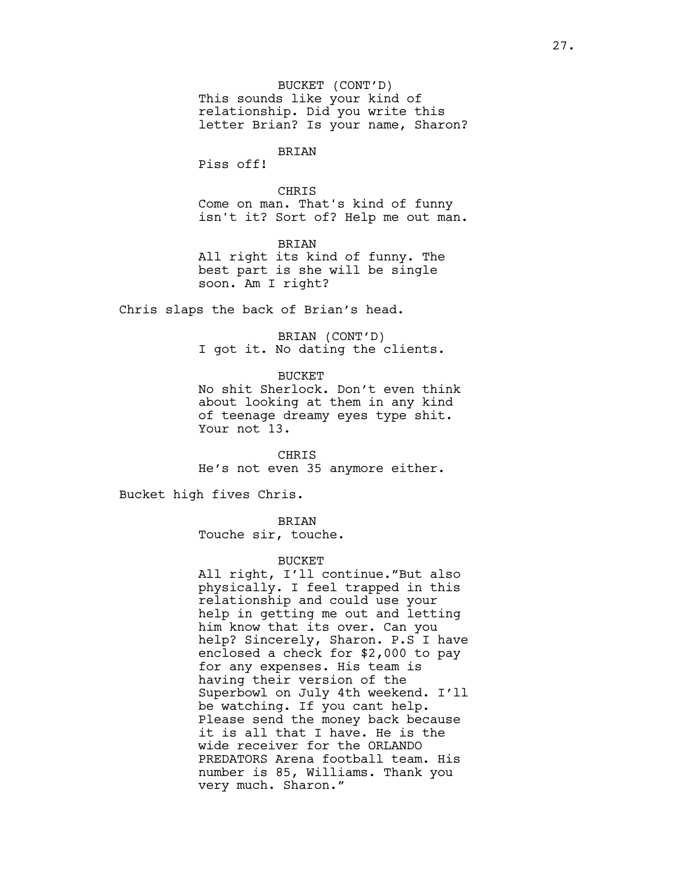BUCKET (CONT'D) This sounds like your kind of relationship. Did you write this letter Brian? Is your name, Sharon?

# BRIAN

Piss off!

## CHRIS

Come on man. That's kind of funny isn't it? Sort of? Help me out man.

BRIAN All right its kind of funny. The best part is she will be single soon. Am I right?

Chris slaps the back of Brian's head.

BRIAN (CONT'D) I got it. No dating the clients.

**BUCKET** 

No shit Sherlock. Don't even think about looking at them in any kind of teenage dreamy eyes type shit. Your not 13.

CHRIS He's not even 35 anymore either.

Bucket high fives Chris.

BRIAN

Touche sir, touche.

### BUCKET

All right, I'll continue."But also physically. I feel trapped in this relationship and could use your help in getting me out and letting him know that its over. Can you help? Sincerely, Sharon. P.S I have enclosed a check for \$2,000 to pay for any expenses. His team is having their version of the Superbowl on July 4th weekend. I'll be watching. If you cant help. Please send the money back because it is all that I have. He is the wide receiver for the ORLANDO PREDATORS Arena football team. His number is 85, Williams. Thank you very much. Sharon."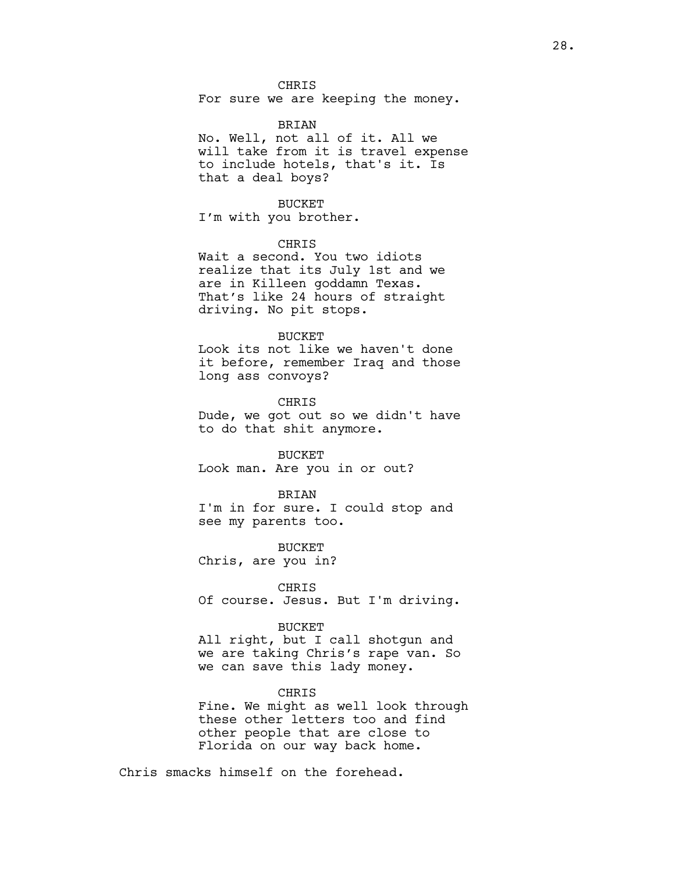CHRIS

For sure we are keeping the money.

#### BRIAN

No. Well, not all of it. All we will take from it is travel expense to include hotels, that's it. Is that a deal boys?

#### BUCKET

I'm with you brother.

### CHRIS

Wait a second. You two idiots realize that its July 1st and we are in Killeen goddamn Texas. That's like 24 hours of straight driving. No pit stops.

#### BUCKET

Look its not like we haven't done it before, remember Iraq and those long ass convoys?

**CHRIS** 

Dude, we got out so we didn't have to do that shit anymore.

### BUCKET

Look man. Are you in or out?

#### BRIAN

I'm in for sure. I could stop and see my parents too.

BUCKET Chris, are you in?

# CHRIS

Of course. Jesus. But I'm driving.

#### BUCKET

All right, but I call shotgun and we are taking Chris's rape van. So we can save this lady money.

#### CHRIS

Fine. We might as well look through these other letters too and find other people that are close to Florida on our way back home.

Chris smacks himself on the forehead.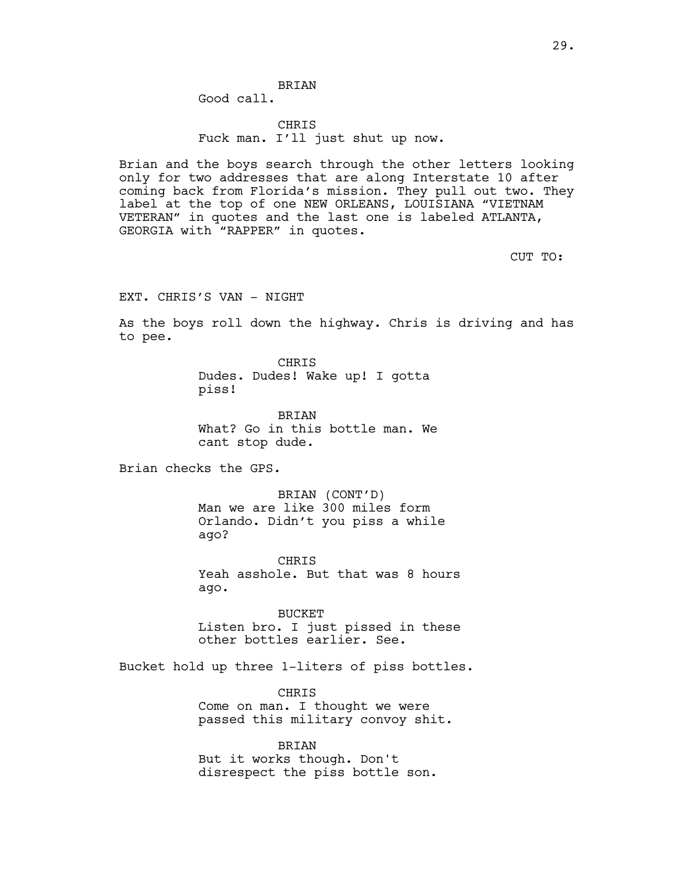**BRIAN** Good call.

CHRIS Fuck man. I'll just shut up now.

Brian and the boys search through the other letters looking only for two addresses that are along Interstate 10 after coming back from Florida's mission. They pull out two. They label at the top of one NEW ORLEANS, LOUISIANA "VIETNAM VETERAN" in quotes and the last one is labeled ATLANTA, GEORGIA with "RAPPER" in quotes.

CUT TO:

EXT. CHRIS'S VAN - NIGHT

As the boys roll down the highway. Chris is driving and has to pee.

> CHRIS Dudes. Dudes! Wake up! I gotta piss!

BRIAN What? Go in this bottle man. We cant stop dude.

Brian checks the GPS.

BRIAN (CONT'D) Man we are like 300 miles form Orlando. Didn't you piss a while ago?

**CHRIS** Yeah asshole. But that was 8 hours ago.

BUCKET Listen bro. I just pissed in these other bottles earlier. See.

Bucket hold up three 1-liters of piss bottles.

**CHRTS** Come on man. I thought we were passed this military convoy shit.

BRIAN But it works though. Don't disrespect the piss bottle son.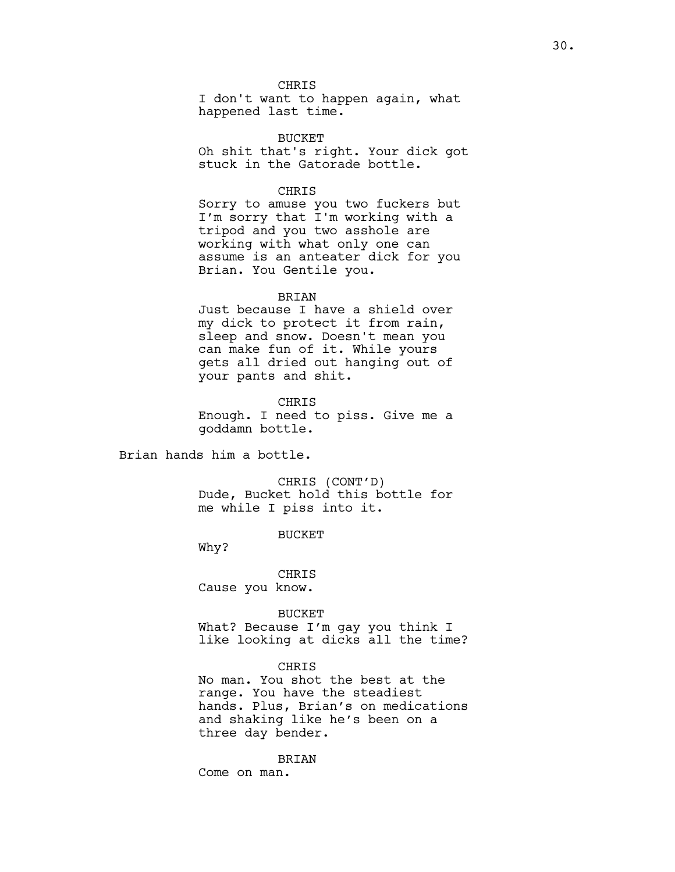CHRIS

I don't want to happen again, what happened last time.

BUCKET Oh shit that's right. Your dick got stuck in the Gatorade bottle.

## CHRIS

Sorry to amuse you two fuckers but I'm sorry that I'm working with a tripod and you two asshole are working with what only one can assume is an anteater dick for you Brian. You Gentile you.

### BRIAN

Just because I have a shield over my dick to protect it from rain, sleep and snow. Doesn't mean you can make fun of it. While yours gets all dried out hanging out of your pants and shit.

**CHRIS** 

Enough. I need to piss. Give me a goddamn bottle.

Brian hands him a bottle.

CHRIS (CONT'D) Dude, Bucket hold this bottle for me while I piss into it.

BUCKET

Why?

CHRIS Cause you know.

BUCKET What? Because I'm gay you think I like looking at dicks all the time?

# **CHRIS**

No man. You shot the best at the range. You have the steadiest hands. Plus, Brian's on medications and shaking like he's been on a three day bender.

BRIAN

Come on man.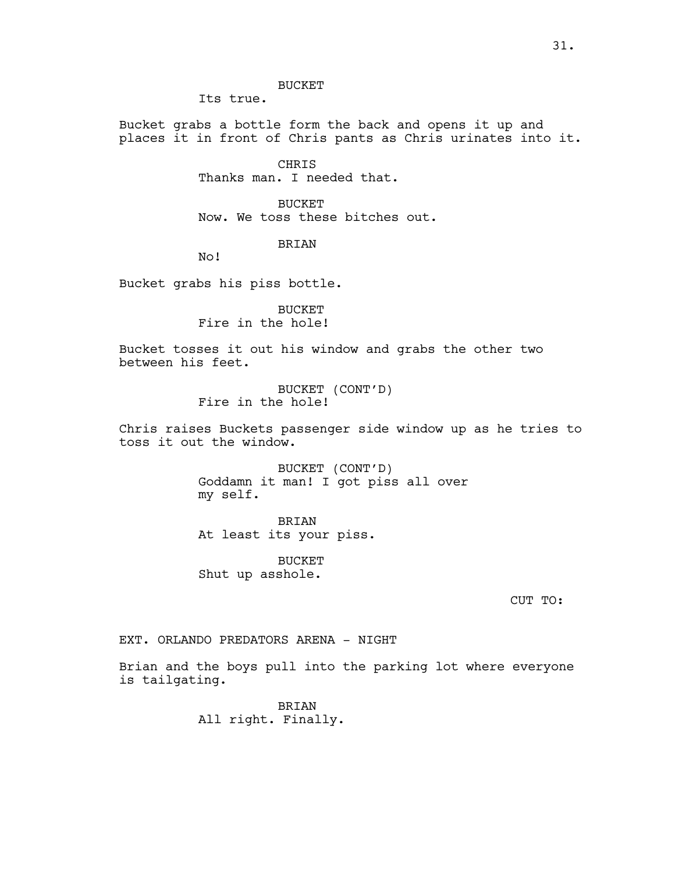BUCKET

Its true.

Bucket grabs a bottle form the back and opens it up and places it in front of Chris pants as Chris urinates into it.

> CHRIS Thanks man. I needed that.

**BUCKET** Now. We toss these bitches out.

BRIAN

No!

Bucket grabs his piss bottle.

BUCKET Fire in the hole!

Bucket tosses it out his window and grabs the other two between his feet.

> BUCKET (CONT'D) Fire in the hole!

Chris raises Buckets passenger side window up as he tries to toss it out the window.

> BUCKET (CONT'D) Goddamn it man! I got piss all over my self.

BRIAN At least its your piss.

BUCKET Shut up asshole.

CUT TO:

EXT. ORLANDO PREDATORS ARENA - NIGHT

Brian and the boys pull into the parking lot where everyone is tailgating.

> BRIAN All right. Finally.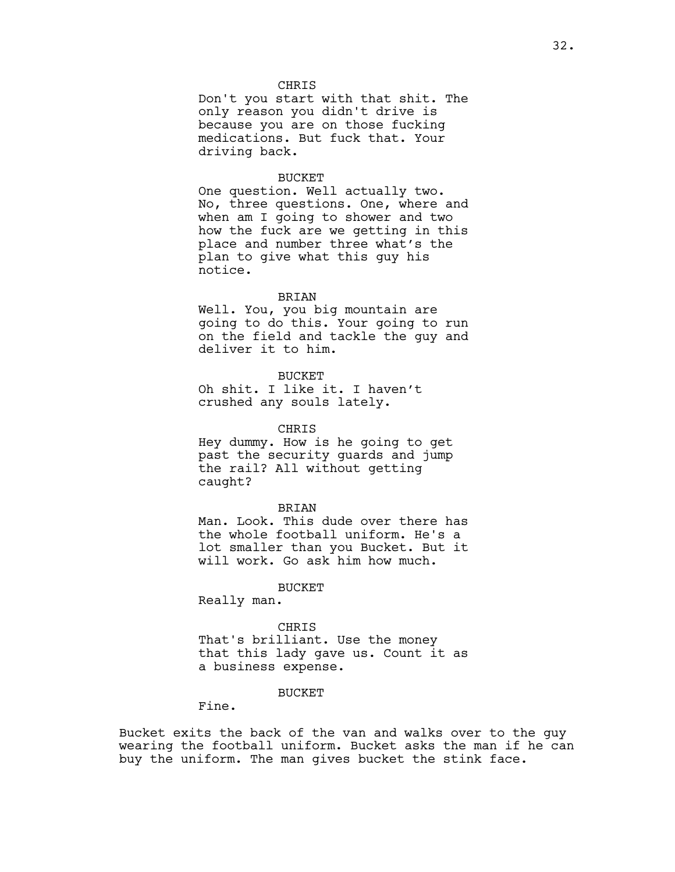### CHRIS

Don't you start with that shit. The only reason you didn't drive is because you are on those fucking medications. But fuck that. Your driving back.

#### BUCKET

One question. Well actually two. No, three questions. One, where and when am I going to shower and two how the fuck are we getting in this place and number three what's the plan to give what this guy his notice.

### BRIAN

Well. You, you big mountain are going to do this. Your going to run on the field and tackle the guy and deliver it to him.

### **BUCKET**

Oh shit. I like it. I haven't crushed any souls lately.

### CHRIS

Hey dummy. How is he going to get past the security guards and jump the rail? All without getting caught?

#### BRIAN

Man. Look. This dude over there has the whole football uniform. He's a lot smaller than you Bucket. But it will work. Go ask him how much.

## BUCKET

Really man.

#### CHRIS

That's brilliant. Use the money that this lady gave us. Count it as a business expense.

## **BUCKET**

Fine.

Bucket exits the back of the van and walks over to the guy wearing the football uniform. Bucket asks the man if he can buy the uniform. The man gives bucket the stink face.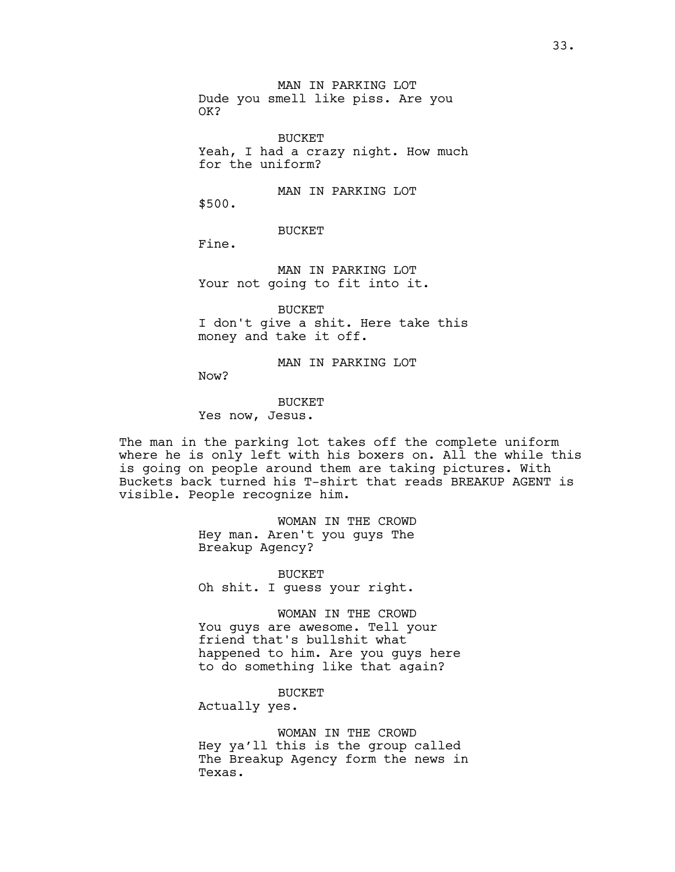MAN IN PARKING LOT Dude you smell like piss. Are you OK?

BUCKET Yeah, I had a crazy night. How much for the uniform?

MAN IN PARKING LOT \$500.

BUCKET

Fine.

MAN IN PARKING LOT Your not going to fit into it.

BUCKET I don't give a shit. Here take this money and take it off.

MAN IN PARKING LOT

Now?

**BUCKET** Yes now, Jesus.

The man in the parking lot takes off the complete uniform where he is only left with his boxers on. All the while this is going on people around them are taking pictures. With Buckets back turned his T-shirt that reads BREAKUP AGENT is visible. People recognize him.

> WOMAN IN THE CROWD Hey man. Aren't you guys The Breakup Agency?

BUCKET Oh shit. I guess your right.

WOMAN IN THE CROWD You guys are awesome. Tell your friend that's bullshit what happened to him. Are you guys here to do something like that again?

BUCKET

Actually yes.

WOMAN IN THE CROWD Hey ya'll this is the group called The Breakup Agency form the news in Texas.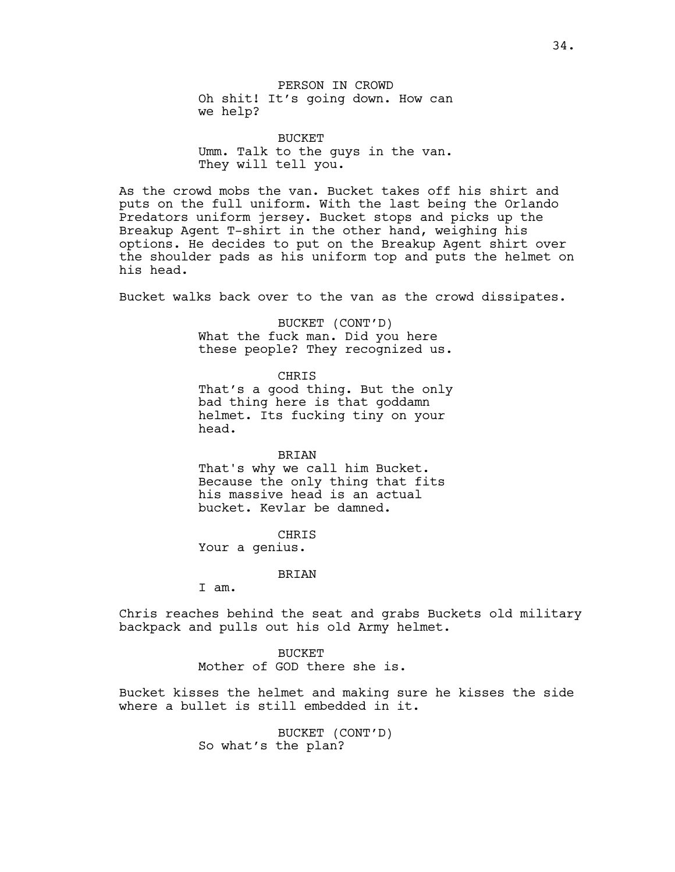PERSON IN CROWD Oh shit! It's going down. How can we help?

BUCKET Umm. Talk to the guys in the van. They will tell you.

As the crowd mobs the van. Bucket takes off his shirt and puts on the full uniform. With the last being the Orlando Predators uniform jersey. Bucket stops and picks up the Breakup Agent T-shirt in the other hand, weighing his options. He decides to put on the Breakup Agent shirt over the shoulder pads as his uniform top and puts the helmet on his head.

Bucket walks back over to the van as the crowd dissipates.

BUCKET (CONT'D) What the fuck man. Did you here these people? They recognized us.

CHRIS

That's a good thing. But the only bad thing here is that goddamn helmet. Its fucking tiny on your head.

#### BRIAN

That's why we call him Bucket. Because the only thing that fits his massive head is an actual bucket. Kevlar be damned.

CHRIS

Your a genius.

#### BRIAN

I am.

Chris reaches behind the seat and grabs Buckets old military backpack and pulls out his old Army helmet.

> BUCKET Mother of GOD there she is.

Bucket kisses the helmet and making sure he kisses the side where a bullet is still embedded in it.

> BUCKET (CONT'D) So what's the plan?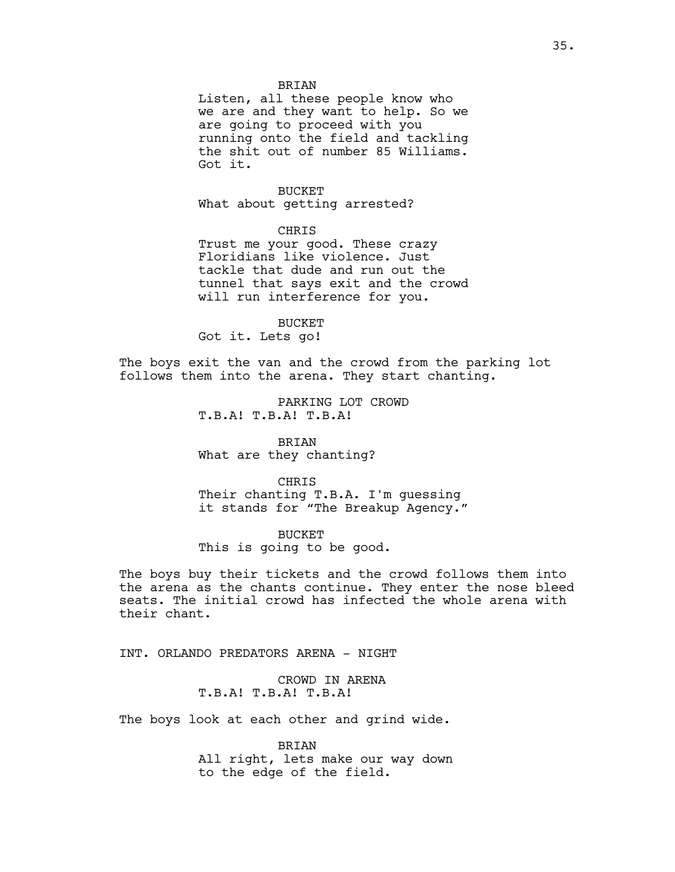### **BRTAN**

Listen, all these people know who we are and they want to help. So we are going to proceed with you running onto the field and tackling the shit out of number 85 Williams. Got it.

## BUCKET

What about getting arrested?

CHRIS

Trust me your good. These crazy Floridians like violence. Just tackle that dude and run out the tunnel that says exit and the crowd will run interference for you.

BUCKET

Got it. Lets go!

The boys exit the van and the crowd from the parking lot follows them into the arena. They start chanting.

> PARKING LOT CROWD T.B.A! T.B.A! T.B.A!

BRIAN What are they chanting?

CHRIS Their chanting T.B.A. I'm guessing it stands for "The Breakup Agency."

BUCKET This is going to be good.

The boys buy their tickets and the crowd follows them into the arena as the chants continue. They enter the nose bleed seats. The initial crowd has infected the whole arena with their chant.

INT. ORLANDO PREDATORS ARENA - NIGHT

CROWD IN ARENA T.B.A! T.B.A! T.B.A!

The boys look at each other and grind wide.

BRIAN All right, lets make our way down to the edge of the field.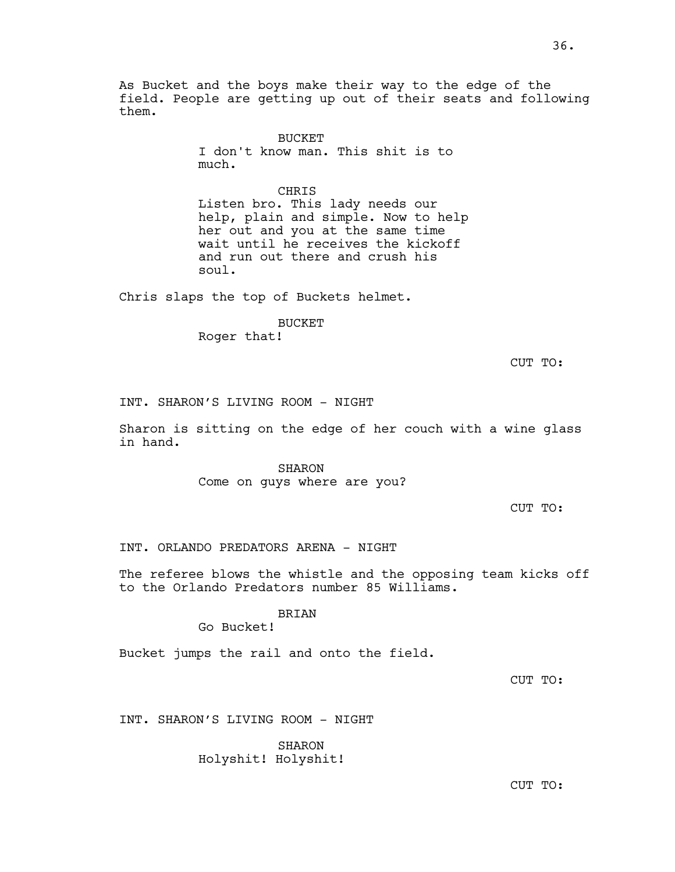As Bucket and the boys make their way to the edge of the field. People are getting up out of their seats and following them.

> BUCKET I don't know man. This shit is to much.

CHRIS Listen bro. This lady needs our help, plain and simple. Now to help her out and you at the same time wait until he receives the kickoff and run out there and crush his soul.

Chris slaps the top of Buckets helmet.

BUCKET

Roger that!

CUT TO:

INT. SHARON'S LIVING ROOM - NIGHT

Sharon is sitting on the edge of her couch with a wine glass in hand.

> SHARON Come on guys where are you?

> > CUT TO:

INT. ORLANDO PREDATORS ARENA - NIGHT

The referee blows the whistle and the opposing team kicks off to the Orlando Predators number 85 Williams.

BRIAN

Go Bucket!

Bucket jumps the rail and onto the field.

CUT TO:

INT. SHARON'S LIVING ROOM - NIGHT

SHARON Holyshit! Holyshit!

CUT TO: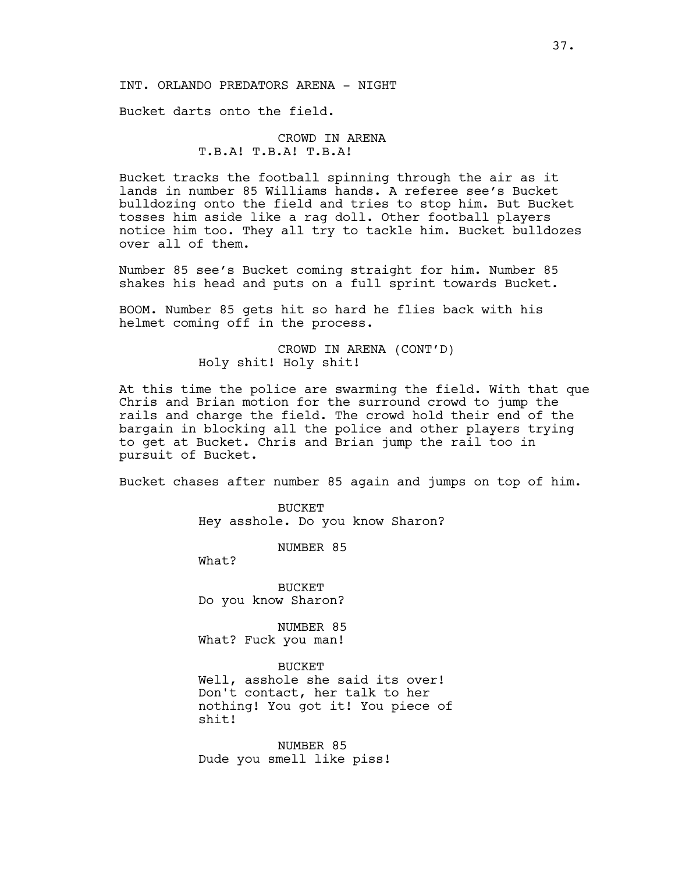# INT. ORLANDO PREDATORS ARENA - NIGHT

Bucket darts onto the field.

# CROWD IN ARENA T.B.A! T.B.A! T.B.A!

Bucket tracks the football spinning through the air as it lands in number 85 Williams hands. A referee see's Bucket bulldozing onto the field and tries to stop him. But Bucket tosses him aside like a rag doll. Other football players notice him too. They all try to tackle him. Bucket bulldozes over all of them.

Number 85 see's Bucket coming straight for him. Number 85 shakes his head and puts on a full sprint towards Bucket.

BOOM. Number 85 gets hit so hard he flies back with his helmet coming off in the process.

> CROWD IN ARENA (CONT'D) Holy shit! Holy shit!

At this time the police are swarming the field. With that que Chris and Brian motion for the surround crowd to jump the rails and charge the field. The crowd hold their end of the bargain in blocking all the police and other players trying to get at Bucket. Chris and Brian jump the rail too in pursuit of Bucket.

Bucket chases after number 85 again and jumps on top of him.

BUCKET Hey asshole. Do you know Sharon?

NUMBER 85

What?

BUCKET Do you know Sharon?

NUMBER 85 What? Fuck you man!

BUCKET

Well, asshole she said its over! Don't contact, her talk to her nothing! You got it! You piece of shit!

NUMBER 85 Dude you smell like piss!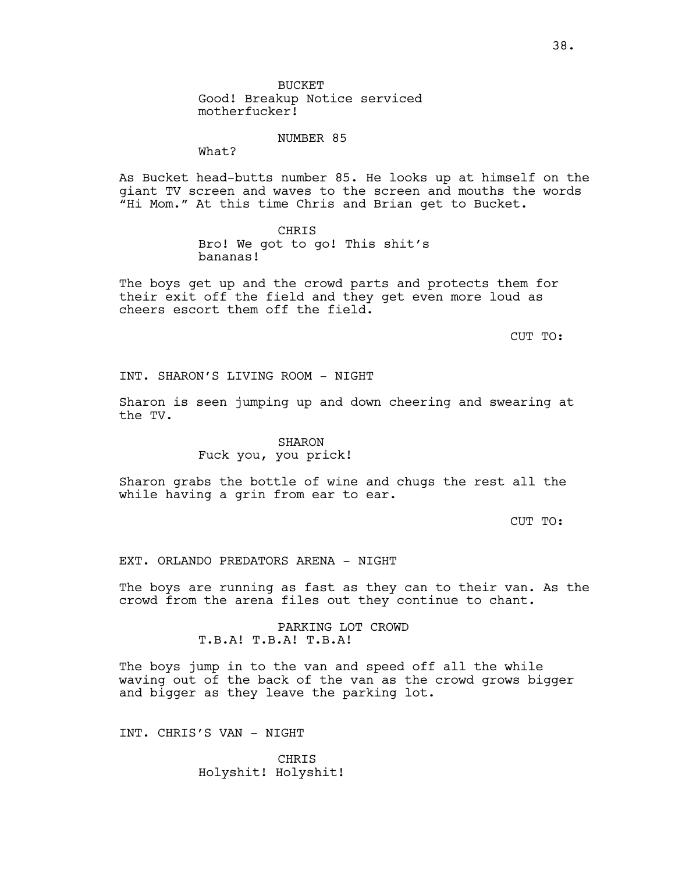NUMBER 85

What?

As Bucket head-butts number 85. He looks up at himself on the giant TV screen and waves to the screen and mouths the words "Hi Mom." At this time Chris and Brian get to Bucket.

> CHRIS Bro! We got to go! This shit's bananas!

The boys get up and the crowd parts and protects them for their exit off the field and they get even more loud as cheers escort them off the field.

CUT TO:

INT. SHARON'S LIVING ROOM - NIGHT

Sharon is seen jumping up and down cheering and swearing at the TV.

### SHARON

Fuck you, you prick!

Sharon grabs the bottle of wine and chugs the rest all the while having a grin from ear to ear.

CUT TO:

EXT. ORLANDO PREDATORS ARENA - NIGHT

The boys are running as fast as they can to their van. As the crowd from the arena files out they continue to chant.

> PARKING LOT CROWD T.B.A! T.B.A! T.B.A!

The boys jump in to the van and speed off all the while waving out of the back of the van as the crowd grows bigger and bigger as they leave the parking lot.

INT. CHRIS'S VAN - NIGHT

CHRIS Holyshit! Holyshit!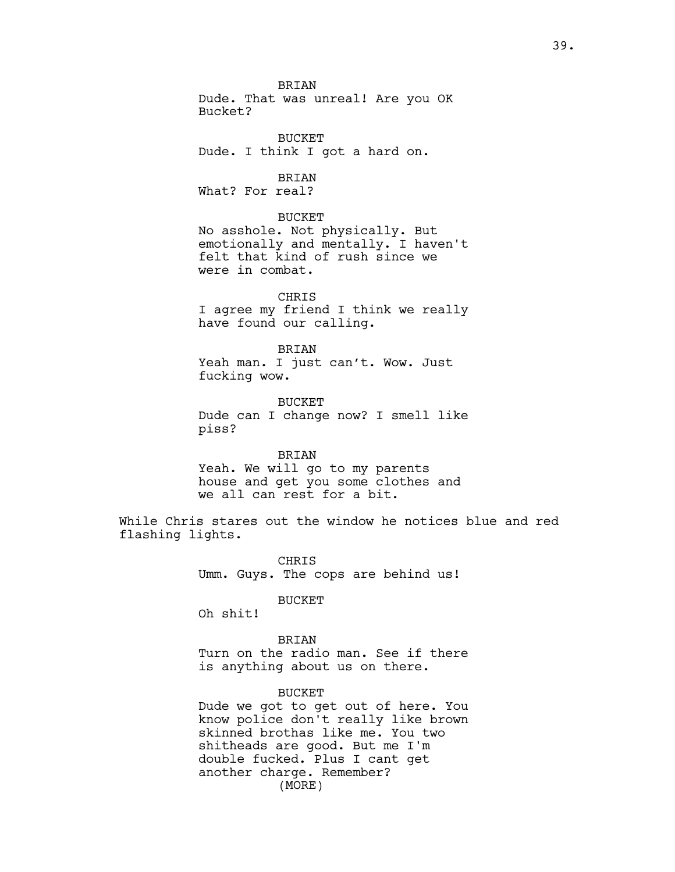**BRTAN** Dude. That was unreal! Are you OK Bucket?

BUCKET Dude. I think I got a hard on.

BRIAN What? For real?

BUCKET

No asshole. Not physically. But emotionally and mentally. I haven't felt that kind of rush since we were in combat.

CHRIS I agree my friend I think we really have found our calling.

BRIAN Yeah man. I just can't. Wow. Just fucking wow.

BUCKET Dude can I change now? I smell like piss?

#### BRIAN

Yeah. We will go to my parents house and get you some clothes and we all can rest for a bit.

While Chris stares out the window he notices blue and red flashing lights.

> CHRIS Umm. Guys. The cops are behind us!

> > BUCKET

Oh shit!

BRIAN Turn on the radio man. See if there is anything about us on there.

BUCKET

Dude we got to get out of here. You know police don't really like brown skinned brothas like me. You two shitheads are good. But me I'm double fucked. Plus I cant get another charge. Remember? (MORE)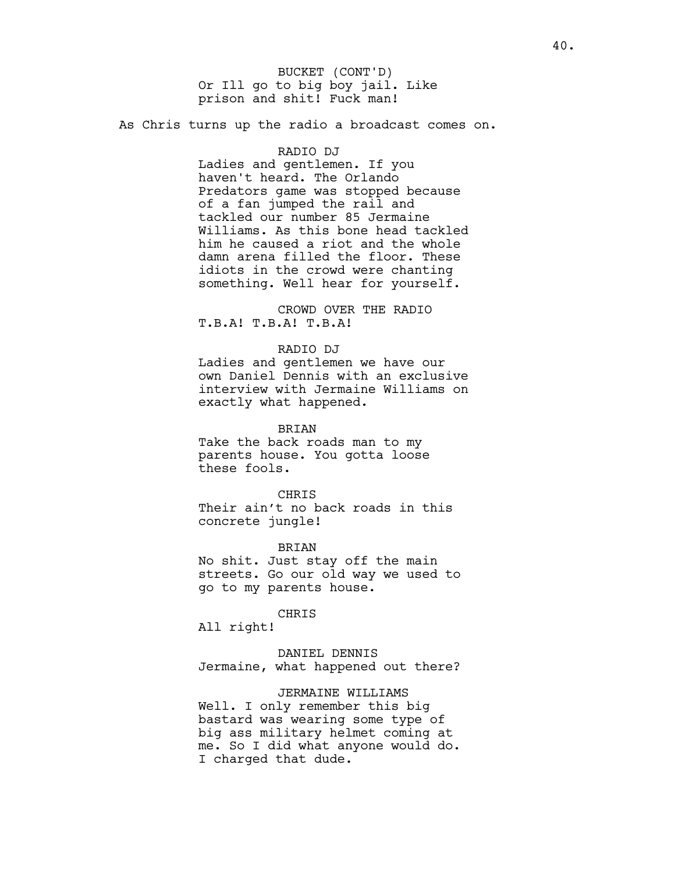Or Ill go to big boy jail. Like prison and shit! Fuck man! BUCKET (CONT'D)

As Chris turns up the radio a broadcast comes on.

### RADIO DJ

Ladies and gentlemen. If you haven't heard. The Orlando Predators game was stopped because of a fan jumped the rail and tackled our number 85 Jermaine Williams. As this bone head tackled him he caused a riot and the whole damn arena filled the floor. These idiots in the crowd were chanting something. Well hear for yourself.

CROWD OVER THE RADIO T.B.A! T.B.A! T.B.A!

# RADIO DJ

Ladies and gentlemen we have our own Daniel Dennis with an exclusive interview with Jermaine Williams on exactly what happened.

BRIAN

Take the back roads man to my parents house. You gotta loose these fools.

**CHRTS** 

Their ain't no back roads in this concrete jungle!

BRIAN No shit. Just stay off the main streets. Go our old way we used to go to my parents house.

#### CHRIS

All right!

DANIEL DENNIS Jermaine, what happened out there?

## JERMAINE WILLIAMS

Well. I only remember this big bastard was wearing some type of big ass military helmet coming at me. So I did what anyone would do. I charged that dude.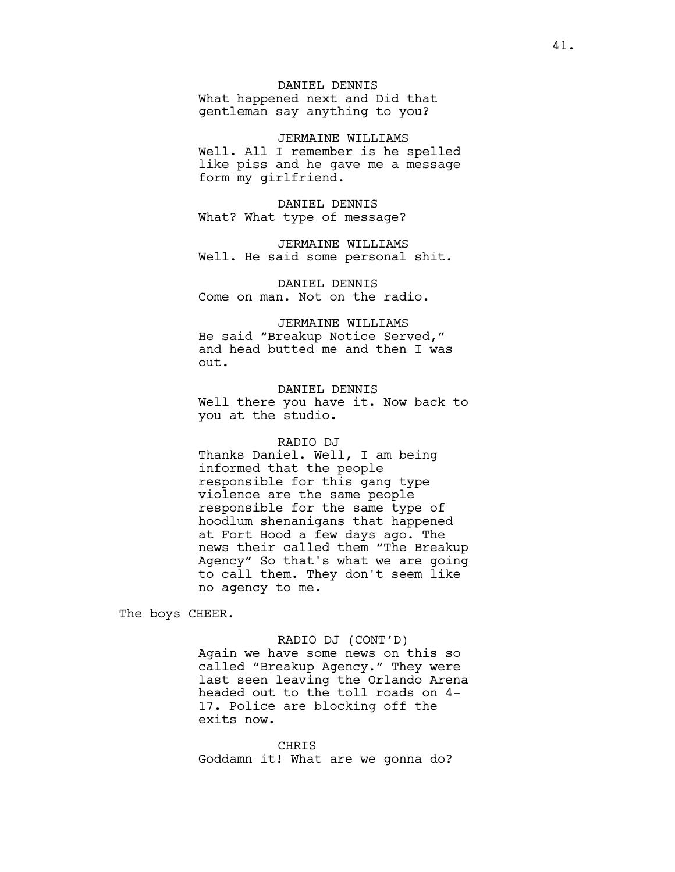# DANIEL DENNIS

What happened next and Did that gentleman say anything to you?

JERMAINE WILLIAMS Well. All I remember is he spelled like piss and he gave me a message form my girlfriend.

DANIEL DENNIS What? What type of message?

JERMAINE WILLIAMS Well. He said some personal shit.

DANIEL DENNIS Come on man. Not on the radio.

JERMAINE WILLIAMS He said "Breakup Notice Served," and head butted me and then I was out.

DANIEL DENNIS Well there you have it. Now back to you at the studio.

### RADIO DJ

Thanks Daniel. Well, I am being informed that the people responsible for this gang type violence are the same people responsible for the same type of hoodlum shenanigans that happened at Fort Hood a few days ago. The news their called them "The Breakup Agency" So that's what we are going to call them. They don't seem like no agency to me.

The boys CHEER.

## RADIO DJ (CONT'D)

Again we have some news on this so called "Breakup Agency." They were last seen leaving the Orlando Arena headed out to the toll roads on 4- 17. Police are blocking off the exits now.

#### CHRIS

Goddamn it! What are we gonna do?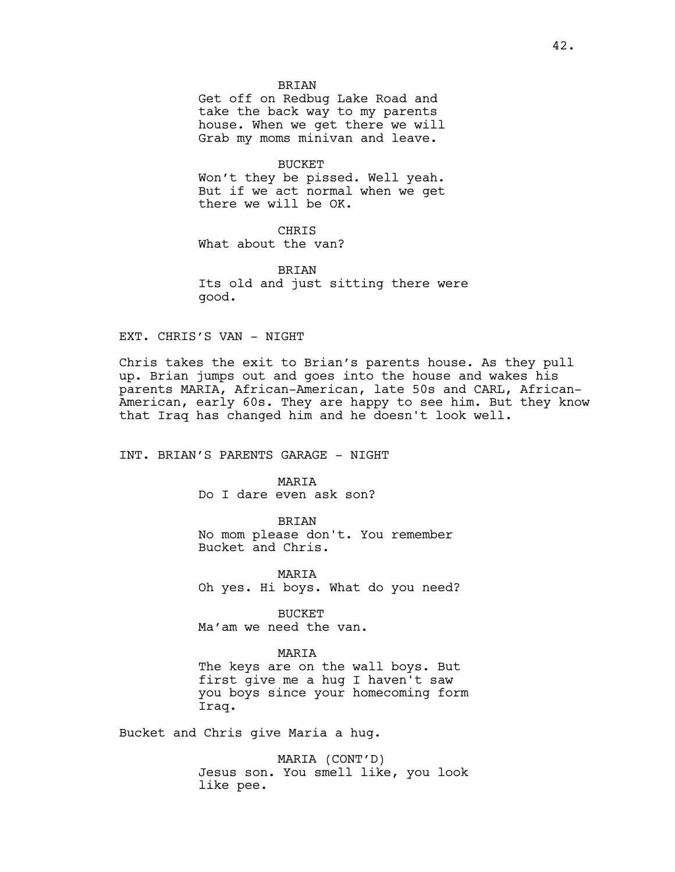### **BRTAN**

Get off on Redbug Lake Road and take the back way to my parents house. When we get there we will Grab my moms minivan and leave.

BUCKET

Won't they be pissed. Well yeah. But if we act normal when we get there we will be OK.

**CHRIS** 

What about the van?

BRIAN Its old and just sitting there were good.

EXT. CHRIS'S VAN - NIGHT

Chris takes the exit to Brian's parents house. As they pull up. Brian jumps out and goes into the house and wakes his parents MARIA, African-American, late 50s and CARL, African-American, early 60s. They are happy to see him. But they know that Iraq has changed him and he doesn't look well.

INT. BRIAN'S PARENTS GARAGE - NIGHT

MARIA

Do I dare even ask son?

BRIAN

No mom please don't. You remember Bucket and Chris.

MARIA Oh yes. Hi boys. What do you need?

BUCKET Ma'am we need the van.

### MARIA

The keys are on the wall boys. But first give me a hug I haven't saw you boys since your homecoming form Iraq.

Bucket and Chris give Maria a hug.

MARIA (CONT'D) Jesus son. You smell like, you look like pee.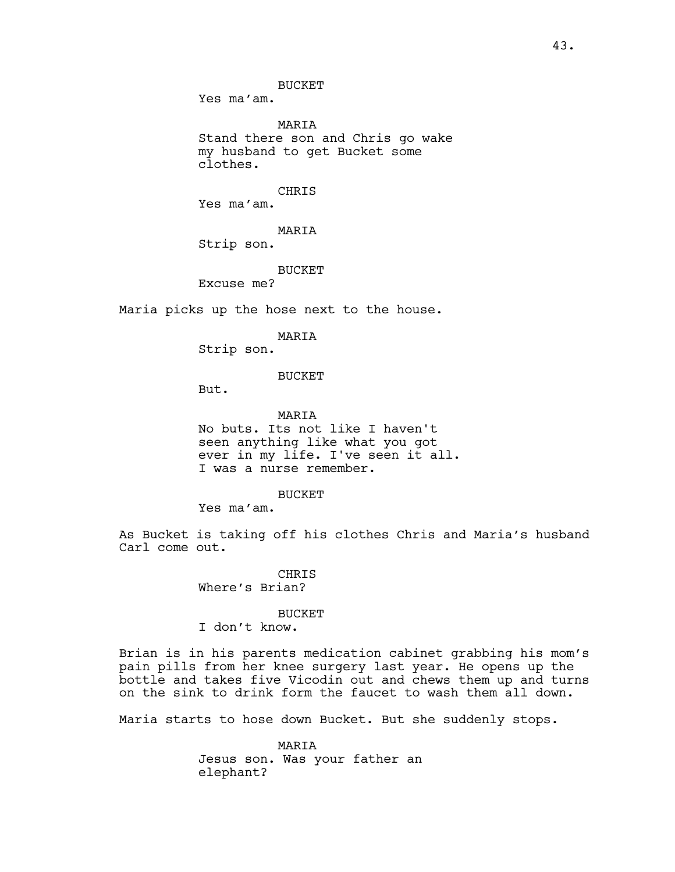BUCKET

Yes ma'am.

MARIA Stand there son and Chris go wake my husband to get Bucket some clothes.

CHRIS

Yes ma'am.

MARIA

Strip son.

BUCKET

Excuse me?

Maria picks up the hose next to the house.

MARIA

Strip son.

BUCKET

But.

MARIA No buts. Its not like I haven't seen anything like what you got ever in my life. I've seen it all. I was a nurse remember.

BUCKET

Yes ma'am.

As Bucket is taking off his clothes Chris and Maria's husband Carl come out.

> **CHRIS** Where's Brian?

> > BUCKET

I don't know.

Brian is in his parents medication cabinet grabbing his mom's pain pills from her knee surgery last year. He opens up the bottle and takes five Vicodin out and chews them up and turns on the sink to drink form the faucet to wash them all down.

Maria starts to hose down Bucket. But she suddenly stops.

MARIA Jesus son. Was your father an elephant?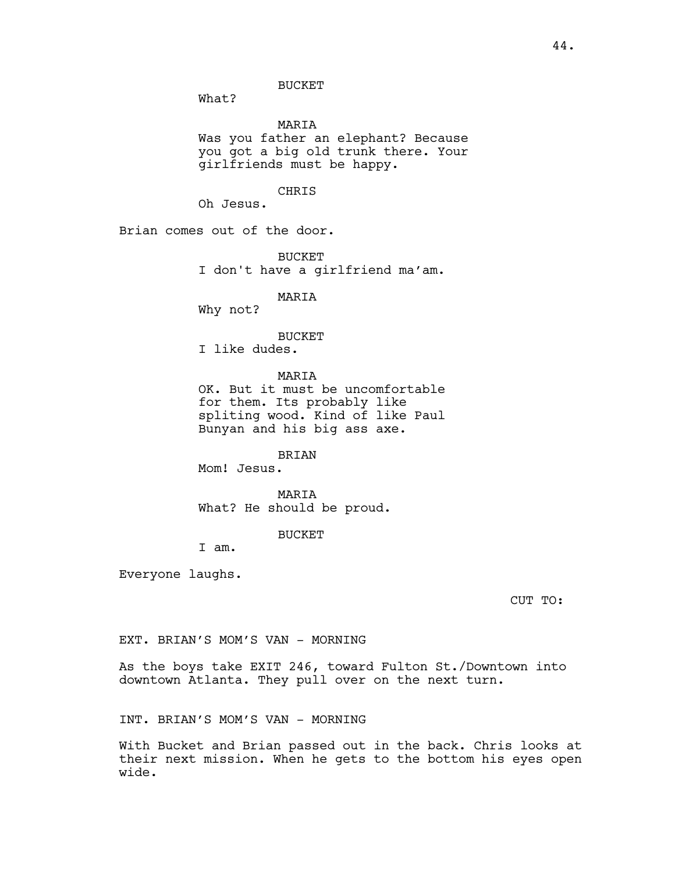What?

### MARIA

Was you father an elephant? Because you got a big old trunk there. Your girlfriends must be happy.

### CHRIS

Oh Jesus.

Brian comes out of the door.

**BUCKET** I don't have a girlfriend ma'am.

# MARIA

Why not?

#### BUCKET

I like dudes.

**MARTA** 

OK. But it must be uncomfortable for them. Its probably like spliting wood. Kind of like Paul Bunyan and his big ass axe.

BRIAN

Mom! Jesus.

MARIA What? He should be proud.

BUCKET

I am.

Everyone laughs.

CUT TO:

EXT. BRIAN'S MOM'S VAN - MORNING

As the boys take EXIT 246, toward Fulton St./Downtown into downtown Atlanta. They pull over on the next turn.

INT. BRIAN'S MOM'S VAN - MORNING

With Bucket and Brian passed out in the back. Chris looks at their next mission. When he gets to the bottom his eyes open wide.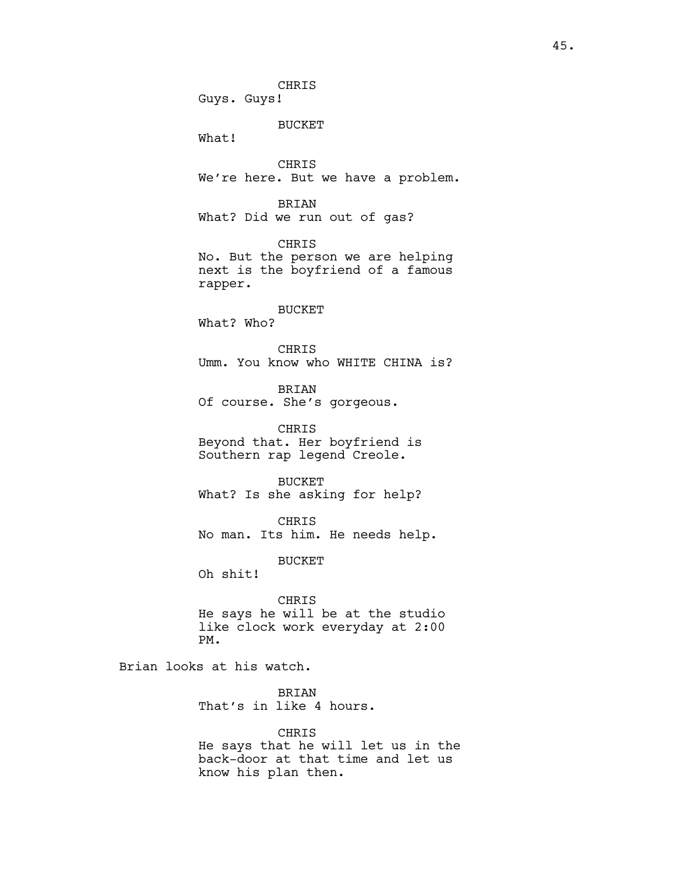CHRIS Guys. Guys! BUCKET What! CHRIS We're here. But we have a problem. BRIAN What? Did we run out of gas? CHRIS No. But the person we are helping next is the boyfriend of a famous rapper. BUCKET What? Who? CHRIS Umm. You know who WHITE CHINA is? BRIAN Of course. She's gorgeous. CHRIS Beyond that. Her boyfriend is Southern rap legend Creole. BUCKET What? Is she asking for help? CHRIS No man. Its him. He needs help. BUCKET Oh shit! CHRIS He says he will be at the studio like clock work everyday at 2:00 PM. Brian looks at his watch. BRIAN That's in like 4 hours. CHRIS

He says that he will let us in the back-door at that time and let us know his plan then.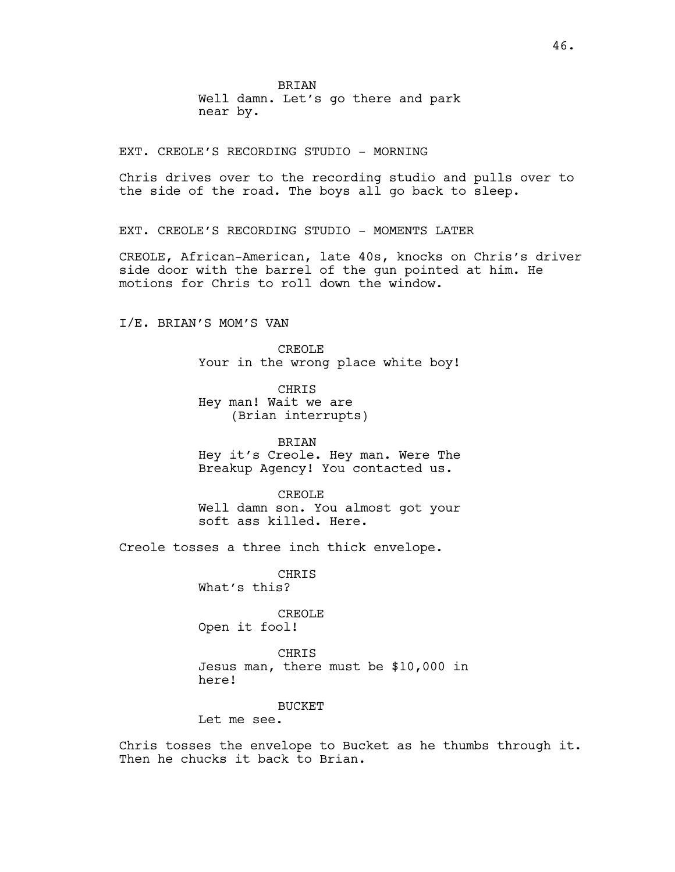EXT. CREOLE'S RECORDING STUDIO - MORNING

Chris drives over to the recording studio and pulls over to the side of the road. The boys all go back to sleep.

EXT. CREOLE'S RECORDING STUDIO - MOMENTS LATER

CREOLE, African-American, late 40s, knocks on Chris's driver side door with the barrel of the gun pointed at him. He motions for Chris to roll down the window.

I/E. BRIAN'S MOM'S VAN

CREOLE Your in the wrong place white boy!

CHRIS Hey man! Wait we are (Brian interrupts)

BRIAN Hey it's Creole. Hey man. Were The Breakup Agency! You contacted us.

CREOLE Well damn son. You almost got your soft ass killed. Here.

Creole tosses a three inch thick envelope.

CHRIS What's this?

CREOLE Open it fool!

CHRIS Jesus man, there must be \$10,000 in here!

BUCKET

Let me see.

Chris tosses the envelope to Bucket as he thumbs through it. Then he chucks it back to Brian.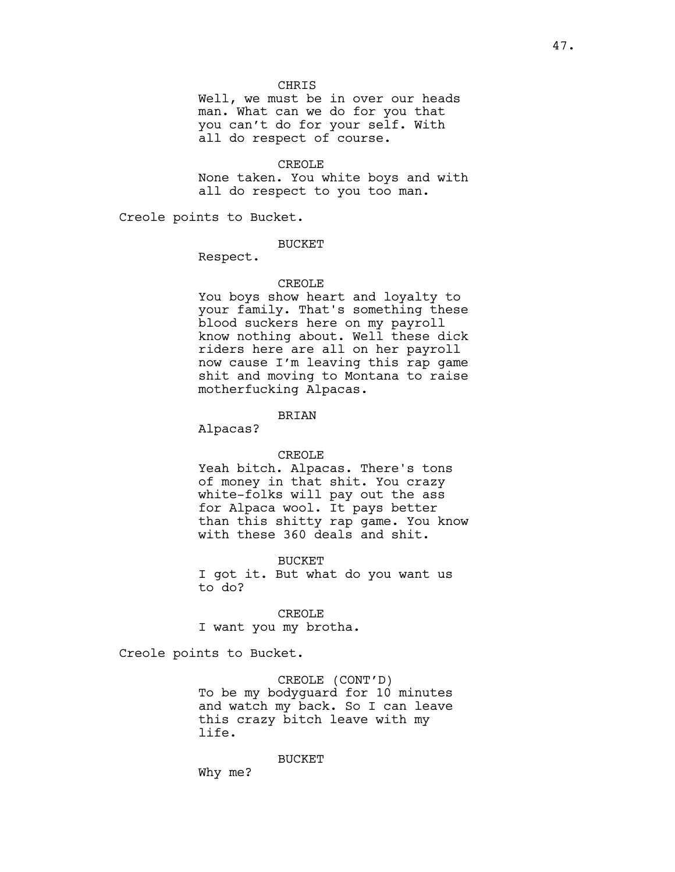### CHRIS

Well, we must be in over our heads man. What can we do for you that you can't do for your self. With all do respect of course.

#### CREOLE

None taken. You white boys and with all do respect to you too man.

Creole points to Bucket.

### BUCKET

Respect.

### CREOLE

You boys show heart and loyalty to your family. That's something these blood suckers here on my payroll know nothing about. Well these dick riders here are all on her payroll now cause I'm leaving this rap game shit and moving to Montana to raise motherfucking Alpacas.

BRIAN

Alpacas?

### CREOLE

Yeah bitch. Alpacas. There's tons of money in that shit. You crazy white-folks will pay out the ass for Alpaca wool. It pays better than this shitty rap game. You know with these 360 deals and shit.

BUCKET

I got it. But what do you want us to do?

CREOLE I want you my brotha.

Creole points to Bucket.

CREOLE (CONT'D) To be my bodyguard for 10 minutes and watch my back. So I can leave this crazy bitch leave with my life.

BUCKET

Why me?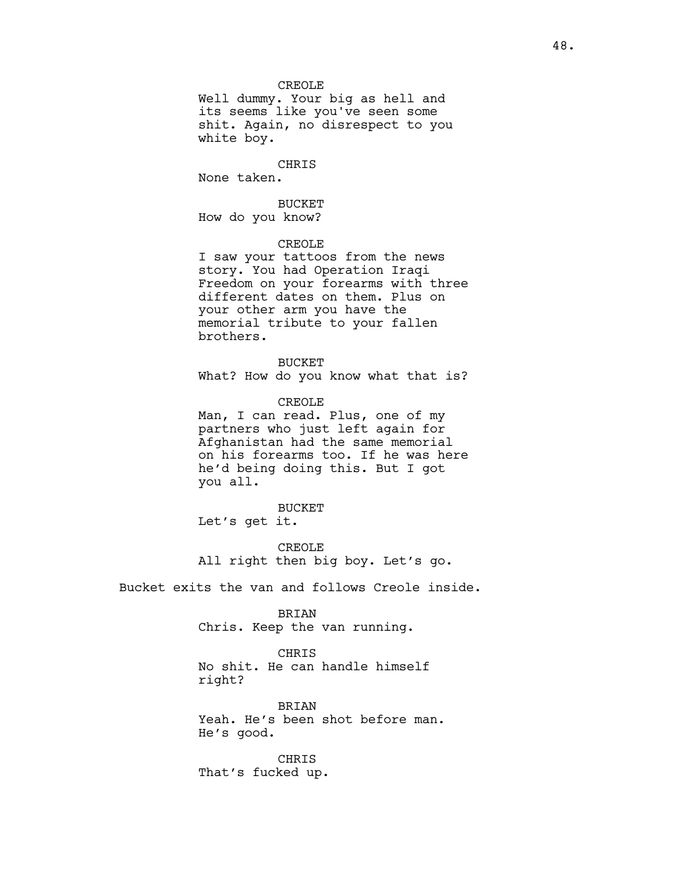Well dummy. Your big as hell and its seems like you've seen some shit. Again, no disrespect to you white boy.

CHRIS

None taken.

BUCKET How do you know?

# CREOLE

I saw your tattoos from the news story. You had Operation Iraqi Freedom on your forearms with three different dates on them. Plus on your other arm you have the memorial tribute to your fallen brothers.

BUCKET What? How do you know what that is?

CREOLE Man, I can read. Plus, one of my partners who just left again for Afghanistan had the same memorial on his forearms too. If he was here he'd being doing this. But I got you all.

BUCKET Let's get it.

CREOLE All right then big boy. Let's go.

Bucket exits the van and follows Creole inside.

BRIAN

Chris. Keep the van running.

CHRIS

No shit. He can handle himself right?

BRIAN Yeah. He's been shot before man. He's good.

CHRIS That's fucked up.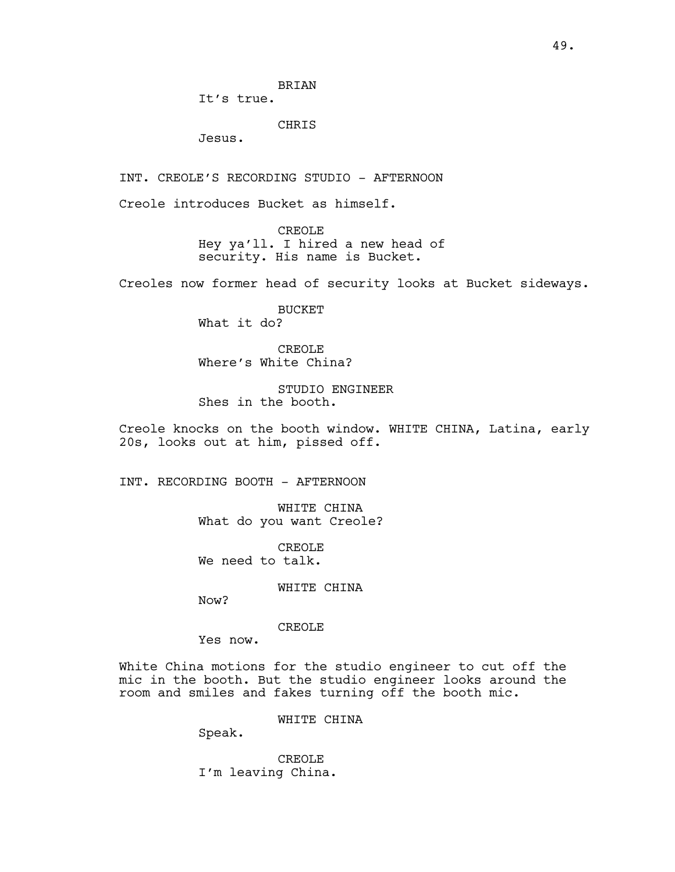It's true.

CHRIS

Jesus.

INT. CREOLE'S RECORDING STUDIO - AFTERNOON

Creole introduces Bucket as himself.

CREOLE Hey ya'll. I hired a new head of security. His name is Bucket.

Creoles now former head of security looks at Bucket sideways.

BUCKET What it do?

CREOLE Where's White China?

STUDIO ENGINEER Shes in the booth.

Creole knocks on the booth window. WHITE CHINA, Latina, early 20s, looks out at him, pissed off.

INT. RECORDING BOOTH - AFTERNOON

WHITE CHINA What do you want Creole?

CREOLE We need to talk.

WHITE CHINA

Now?

## CREOLE

Yes now.

White China motions for the studio engineer to cut off the mic in the booth. But the studio engineer looks around the room and smiles and fakes turning off the booth mic.

WHITE CHINA

Speak.

CREOLE I'm leaving China.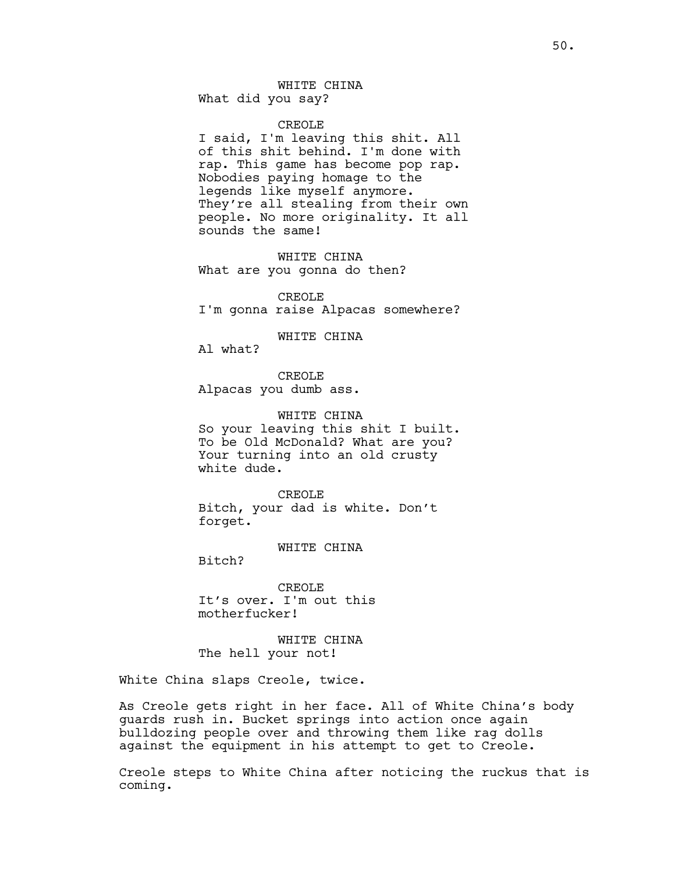# WHITE CHINA What did you say?

#### CREOLE

I said, I'm leaving this shit. All of this shit behind. I'm done with rap. This game has become pop rap. Nobodies paying homage to the legends like myself anymore. They're all stealing from their own people. No more originality. It all sounds the same!

WHITE CHINA What are you gonna do then?

CREOLE I'm gonna raise Alpacas somewhere?

WHITE CHINA

Al what?

CREOLE Alpacas you dumb ass.

WHITE CHINA So your leaving this shit I built. To be Old McDonald? What are you? Your turning into an old crusty white dude.

CREOLE Bitch, your dad is white. Don't forget.

WHITE CHINA

Bitch?

CREOLE It's over. I'm out this motherfucker!

WHITE CHINA The hell your not!

White China slaps Creole, twice.

As Creole gets right in her face. All of White China's body guards rush in. Bucket springs into action once again bulldozing people over and throwing them like rag dolls against the equipment in his attempt to get to Creole.

Creole steps to White China after noticing the ruckus that is coming.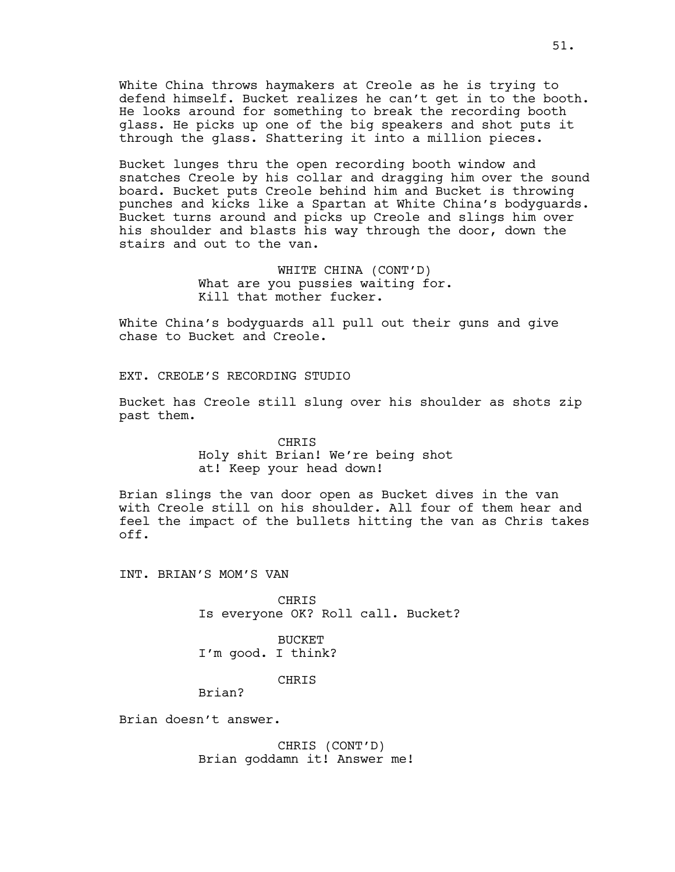White China throws haymakers at Creole as he is trying to defend himself. Bucket realizes he can't get in to the booth. He looks around for something to break the recording booth glass. He picks up one of the big speakers and shot puts it through the glass. Shattering it into a million pieces.

Bucket lunges thru the open recording booth window and snatches Creole by his collar and dragging him over the sound board. Bucket puts Creole behind him and Bucket is throwing punches and kicks like a Spartan at White China's bodyguards. Bucket turns around and picks up Creole and slings him over his shoulder and blasts his way through the door, down the stairs and out to the van.

> WHITE CHINA (CONT'D) What are you pussies waiting for. Kill that mother fucker.

White China's bodyguards all pull out their guns and give chase to Bucket and Creole.

EXT. CREOLE'S RECORDING STUDIO

Bucket has Creole still slung over his shoulder as shots zip past them.

# CHRIS Holy shit Brian! We're being shot at! Keep your head down!

Brian slings the van door open as Bucket dives in the van with Creole still on his shoulder. All four of them hear and feel the impact of the bullets hitting the van as Chris takes off.

INT. BRIAN'S MOM'S VAN

CHRIS Is everyone OK? Roll call. Bucket?

BUCKET I'm good. I think?

CHRIS

Brian?

Brian doesn't answer.

CHRIS (CONT'D) Brian goddamn it! Answer me!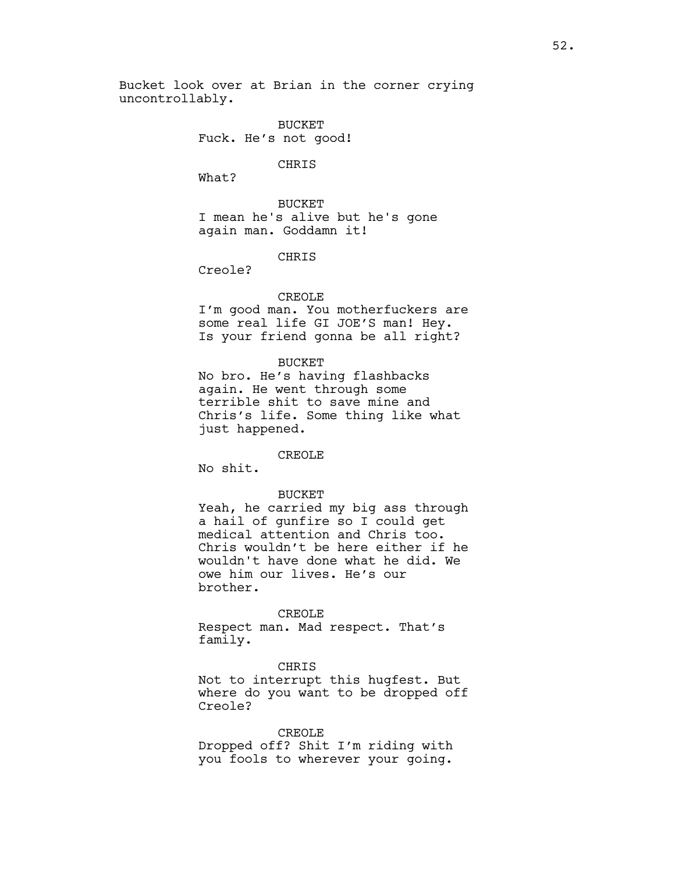Bucket look over at Brian in the corner crying uncontrollably.

> BUCKET Fuck. He's not good!

> > CHRIS

What?

BUCKET I mean he's alive but he's gone again man. Goddamn it!

# **CHRIS**

Creole?

## CREOLE

I'm good man. You motherfuckers are some real life GI JOE'S man! Hey. Is your friend gonna be all right?

#### BUCKET

No bro. He's having flashbacks again. He went through some terrible shit to save mine and Chris's life. Some thing like what just happened.

# CREOLE

No shit.

### BUCKET

Yeah, he carried my big ass through a hail of gunfire so I could get medical attention and Chris too. Chris wouldn't be here either if he wouldn't have done what he did. We owe him our lives. He's our brother.

#### CREOLE

Respect man. Mad respect. That's family.

## CHRIS

Not to interrupt this hugfest. But where do you want to be dropped off Creole?

### CREOLE

Dropped off? Shit I'm riding with you fools to wherever your going.